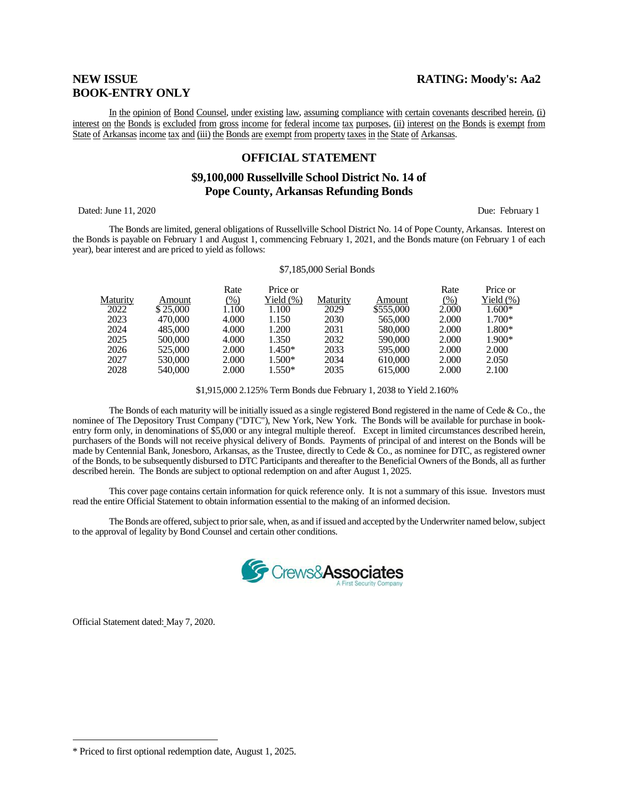# **BOOK-ENTRY ONLY**

In the opinion of Bond Counsel, under existing law, assuming compliance with certain covenants described herein, (i) interest on the Bonds is excluded from gross income for federal income tax purposes, (ii) interest on the Bonds is exempt from State of Arkansas income tax and (iii) the Bonds are exempt from property taxes in the State of Arkansas.

#### **OFFICIAL STATEMENT**

## **\$9,100,000 Russellville School District No. 14 of Pope County, Arkansas Refunding Bonds**

Dated: June 11, 2020 Due: February 1

The Bonds are limited, general obligations of Russellville School District No. 14 of Pope County, Arkansas. Interest on the Bonds is payable on February 1 and August 1, commencing February 1, 2021, and the Bonds mature (on February 1 of each year), bear interest and are priced to yield as follows:

#### \$7,185,000 Serial Bonds

|                 |          | Rate   | Price or  |          |           | Rate  | Price or      |
|-----------------|----------|--------|-----------|----------|-----------|-------|---------------|
| <b>Maturity</b> | Amount   | $(\%)$ | Yield (%) | Maturity | Amount    | (% )  | Yield $(\% )$ |
| 2022            | \$25,000 | 1.100  | 1.100     | 2029     | \$555,000 | 2.000 | $1.600*$      |
| 2023            | 470,000  | 4.000  | 1.150     | 2030     | 565,000   | 2.000 | $1.700*$      |
| 2024            | 485,000  | 4.000  | 1.200     | 2031     | 580,000   | 2.000 | 1.800*        |
| 2025            | 500,000  | 4.000  | 1.350     | 2032     | 590,000   | 2.000 | $1.900*$      |
| 2026            | 525,000  | 2.000  | 1.450*    | 2033     | 595,000   | 2.000 | 2.000         |
| 2027            | 530,000  | 2.000  | $1.500*$  | 2034     | 610,000   | 2.000 | 2.050         |
| 2028            | 540,000  | 2.000  | $1.550*$  | 2035     | 615,000   | 2.000 | 2.100         |

\$1,915,000 2.125% Term Bonds due February 1, 2038 to Yield 2.160%

The Bonds of each maturity will be initially issued as a single registered Bond registered in the name of Cede  $\&$  Co., the nominee of The Depository Trust Company ("DTC"), New York, New York. The Bonds will be available for purchase in bookentry form only, in denominations of \$5,000 or any integral multiple thereof. Except in limited circumstances described herein, purchasers of the Bonds will not receive physical delivery of Bonds. Payments of principal of and interest on the Bonds will be made by Centennial Bank, Jonesboro, Arkansas, as the Trustee, directly to Cede & Co., as nominee for DTC, as registered owner of the Bonds, to be subsequently disbursed to DTC Participants and thereafter to the Beneficial Owners of the Bonds, all as further described herein. The Bonds are subject to optional redemption on and after August 1, 2025.

This cover page contains certain information for quick reference only. It is not a summary of this issue. Investors must read the entire Official Statement to obtain information essential to the making of an informed decision.

The Bonds are offered, subject to prior sale, when, as and if issued and accepted by the Underwriter named below, subject to the approval of legality by Bond Counsel and certain other conditions.



Official Statement dated: May 7, 2020.

 $\overline{a}$ 

<sup>\*</sup> Priced to first optional redemption date, August 1, 2025.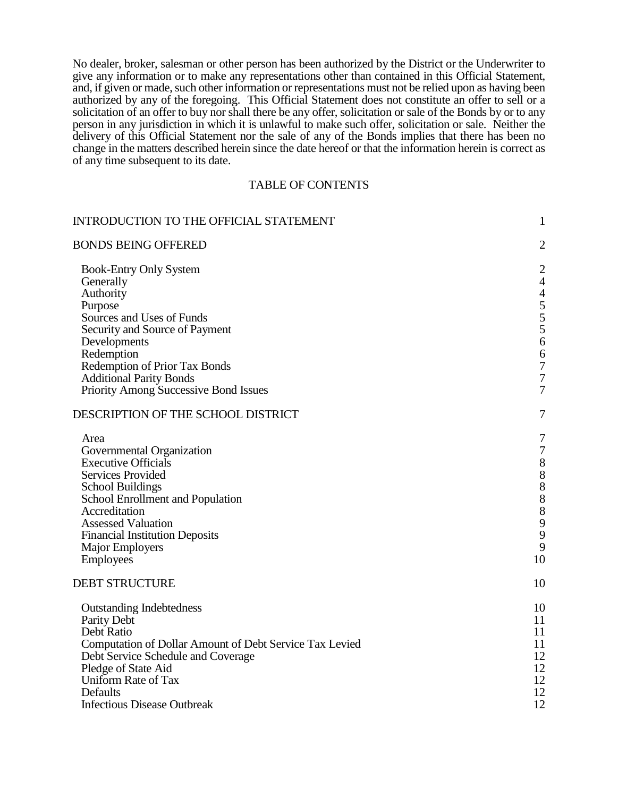No dealer, broker, salesman or other person has been authorized by the District or the Underwriter to give any information or to make any representations other than contained in this Official Statement, and, if given or made, such other information or representations must not be relied upon as having been authorized by any of the foregoing. This Official Statement does not constitute an offer to sell or a solicitation of an offer to buy nor shall there be any offer, solicitation or sale of the Bonds by or to any person in any jurisdiction in which it is unlawful to make such offer, solicitation or sale. Neither the delivery of this Official Statement nor the sale of any of the Bonds implies that there has been no change in the matters described herein since the date hereof or that the information herein is correct as of any time subsequent to its date.

#### TABLE OF CONTENTS

| $\mathbf{1}$                                                                                                  |
|---------------------------------------------------------------------------------------------------------------|
| $\mathbf{2}$                                                                                                  |
| $\overline{2}$<br>$\overline{4}$<br>$\overline{4}$<br>$\begin{array}{c} 5 \\ 5 \\ 6 \end{array}$              |
| 6                                                                                                             |
| $\boldsymbol{7}$                                                                                              |
| $\boldsymbol{7}$<br>$\overline{7}$                                                                            |
| $\tau$                                                                                                        |
| 7<br>$\boldsymbol{7}$<br>$\begin{array}{c} 8 \\ 8 \\ 8 \end{array}$<br>8<br>8<br>$\mathbf{9}$<br>9<br>9<br>10 |
| 10                                                                                                            |
| 10<br>11<br>11<br>11<br>12<br>12<br>12<br>12<br>12                                                            |
|                                                                                                               |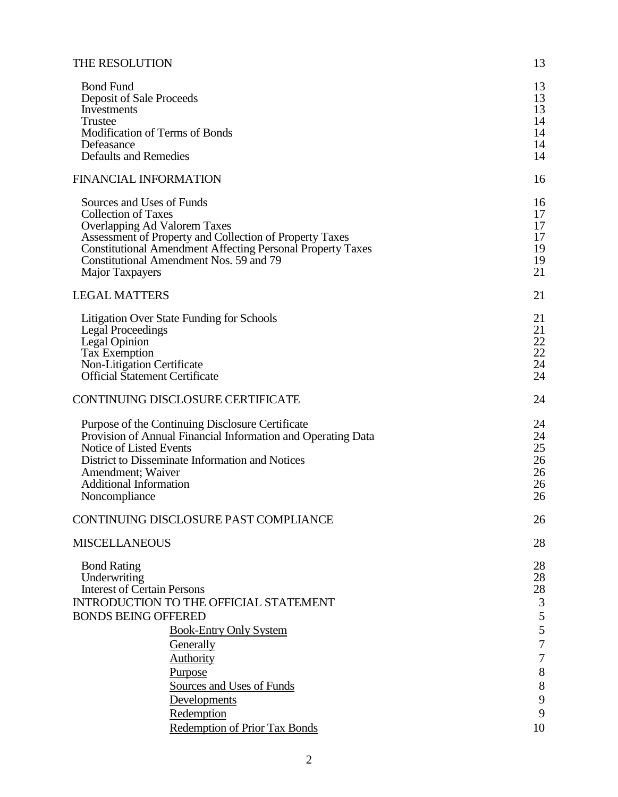| THE RESOLUTION                                                                                                                                                                                                                                                                        | 13                                                                            |
|---------------------------------------------------------------------------------------------------------------------------------------------------------------------------------------------------------------------------------------------------------------------------------------|-------------------------------------------------------------------------------|
| <b>Bond Fund</b><br>Deposit of Sale Proceeds<br>Investments<br>Trustee<br>Modification of Terms of Bonds<br>Defeasance<br><b>Defaults and Remedies</b>                                                                                                                                | 13<br>13<br>13<br>14<br>14<br>14<br>14                                        |
| <b>FINANCIAL INFORMATION</b>                                                                                                                                                                                                                                                          | 16                                                                            |
| Sources and Uses of Funds<br><b>Collection of Taxes</b><br>Overlapping Ad Valorem Taxes<br>Assessment of Property and Collection of Property Taxes<br><b>Constitutional Amendment Affecting Personal Property Taxes</b><br>Constitutional Amendment Nos. 59 and 79<br>Major Taxpayers | 16<br>17<br>17<br>17<br>19<br>19<br>21                                        |
| <b>LEGAL MATTERS</b>                                                                                                                                                                                                                                                                  | 21                                                                            |
| <b>Litigation Over State Funding for Schools</b><br><b>Legal Proceedings</b><br>Legal Opinion<br><b>Tax Exemption</b><br>Non-Litigation Certificate<br><b>Official Statement Certificate</b>                                                                                          | 21<br>21<br>22<br>22<br>24<br>24                                              |
| CONTINUING DISCLOSURE CERTIFICATE                                                                                                                                                                                                                                                     | 24                                                                            |
| Purpose of the Continuing Disclosure Certificate<br>Provision of Annual Financial Information and Operating Data<br>Notice of Listed Events<br>District to Disseminate Information and Notices<br>Amendment; Waiver<br><b>Additional Information</b><br>Noncompliance                 | 24<br>24<br>25<br>26<br>26<br>26<br>26                                        |
| CONTINUING DISCLOSURE PAST COMPLIANCE                                                                                                                                                                                                                                                 | 26                                                                            |
| <b>MISCELLANEOUS</b>                                                                                                                                                                                                                                                                  | 28                                                                            |
| <b>Bond Rating</b><br>Underwriting<br><b>Interest of Certain Persons</b><br>INTRODUCTION TO THE OFFICIAL STATEMENT<br><b>BONDS BEING OFFERED</b><br><b>Book-Entry Only System</b><br>Generally<br>Authority<br>Purpose                                                                | 28<br>28<br>28<br>$\mathfrak{Z}$<br>5<br>$rac{5}{7}$<br>$\boldsymbol{7}$<br>8 |
| Sources and Uses of Funds                                                                                                                                                                                                                                                             | 8                                                                             |
| Developments<br>Redemption                                                                                                                                                                                                                                                            | 9<br>9                                                                        |
| <b>Redemption of Prior Tax Bonds</b>                                                                                                                                                                                                                                                  | 10                                                                            |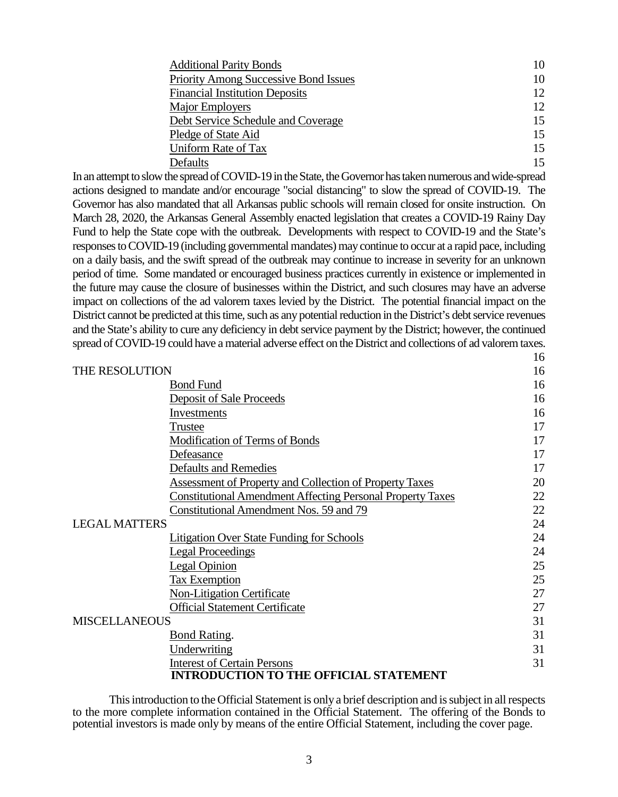| <b>Additional Parity Bonds</b>               | 10 |
|----------------------------------------------|----|
| <b>Priority Among Successive Bond Issues</b> | 10 |
| <b>Financial Institution Deposits</b>        | 12 |
| <b>Major Employers</b>                       | 12 |
| Debt Service Schedule and Coverage           | 15 |
| Pledge of State Aid                          | 15 |
| Uniform Rate of Tax                          | 15 |
| Defaults                                     | 15 |

16

In an attempt to slow the spread of COVID-19 in the State, the Governor has taken numerous and wide-spread actions designed to mandate and/or encourage "social distancing" to slow the spread of COVID-19. The Governor has also mandated that all Arkansas public schools will remain closed for onsite instruction. On March 28, 2020, the Arkansas General Assembly enacted legislation that creates a COVID-19 Rainy Day Fund to help the State cope with the outbreak. Developments with respect to COVID-19 and the State's responses to COVID-19 (including governmental mandates) may continue to occur at a rapid pace, including on a daily basis, and the swift spread of the outbreak may continue to increase in severity for an unknown period of time. Some mandated or encouraged business practices currently in existence or implemented in the future may cause the closure of businesses within the District, and such closures may have an adverse impact on collections of the ad valorem taxes levied by the District. The potential financial impact on the District cannot be predicted at this time, such as any potential reduction in the District's debt service revenues and the State's ability to cure any deficiency in debt service payment by the District; however, the continued spread of COVID-19 could have a material adverse effect on the District and collections of ad valorem taxes.

| THE RESOLUTION                                                    |    |
|-------------------------------------------------------------------|----|
| <b>Bond Fund</b>                                                  | 16 |
| <b>Deposit of Sale Proceeds</b>                                   | 16 |
| Investments                                                       | 16 |
| Trustee                                                           | 17 |
| <b>Modification of Terms of Bonds</b>                             | 17 |
| Defeasance                                                        | 17 |
| <b>Defaults and Remedies</b>                                      | 17 |
| <b>Assessment of Property and Collection of Property Taxes</b>    | 20 |
| <b>Constitutional Amendment Affecting Personal Property Taxes</b> | 22 |
| Constitutional Amendment Nos. 59 and 79                           | 22 |
| <b>LEGAL MATTERS</b>                                              |    |
| <b>Litigation Over State Funding for Schools</b>                  | 24 |
| <b>Legal Proceedings</b>                                          | 24 |
| Legal Opinion                                                     | 25 |
| <b>Tax Exemption</b>                                              | 25 |
| <b>Non-Litigation Certificate</b>                                 | 27 |
| <b>Official Statement Certificate</b>                             | 27 |
| <b>MISCELLANEOUS</b>                                              |    |
| <b>Bond Rating.</b>                                               | 31 |
| Underwriting                                                      | 31 |
| <b>Interest of Certain Persons</b>                                | 31 |
| <b>INTRODUCTION TO THE OFFICIAL STATEMENT</b>                     |    |

This introduction to the Official Statement is only a brief description and is subject in all respects to the more complete information contained in the Official Statement. The offering of the Bonds to potential investors is made only by means of the entire Official Statement, including the cover page.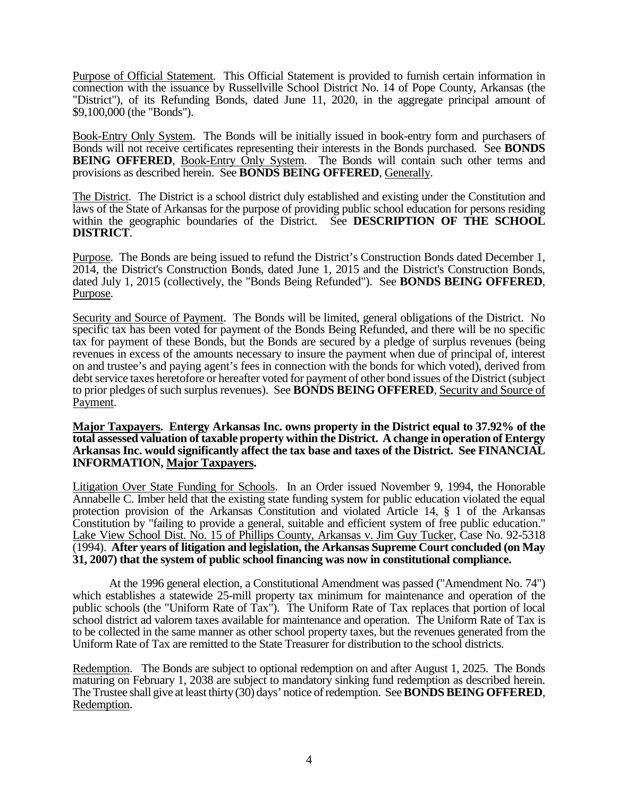Purpose of Official Statement. This Official Statement is provided to furnish certain information in connection with the issuance by Russellville School District No. 14 of Pope County, Arkansas (the "District"), of its Refunding Bonds, dated June 11, 2020, in the aggregate principal amount of \$9,100,000 (the "Bonds").

Book-Entry Only System. The Bonds will be initially issued in book-entry form and purchasers of Bonds will not receive certificates representing their interests in the Bonds purchased. See **BONDS BEING OFFERED, Book-Entry Only System.** The Bonds will contain such other terms and provisions as described herein. See **BONDS BEING OFFERED**, Generally.

The District. The District is a school district duly established and existing under the Constitution and laws of the State of Arkansas for the purpose of providing public school education for persons residing within the geographic boundaries of the District. See **DESCRIPTION OF THE SCHOOL DISTRICT**.

Purpose. The Bonds are being issued to refund the District's Construction Bonds dated December 1, 2014, the District's Construction Bonds, dated June 1, 2015 and the District's Construction Bonds, dated July 1, 2015 (collectively, the "Bonds Being Refunded"). See **BONDS BEING OFFERED**, Purpose.

Security and Source of Payment. The Bonds will be limited, general obligations of the District. No specific tax has been voted for payment of the Bonds Being Refunded, and there will be no specific tax for payment of these Bonds, but the Bonds are secured by a pledge of surplus revenues (being revenues in excess of the amounts necessary to insure the payment when due of principal of, interest on and trustee's and paying agent's fees in connection with the bonds for which voted), derived from debt service taxes heretofore or hereafter voted for payment of other bond issues of the District (subject to prior pledges of such surplus revenues). See **BONDS BEING OFFERED**, Security and Source of Payment.

#### **Major Taxpayers. Entergy Arkansas Inc. owns property in the District equal to 37.92% of the total assessed valuation of taxable property within the District. A change in operation of Entergy Arkansas Inc. would significantly affect the tax base and taxes of the District. See FINANCIAL INFORMATION, Major Taxpayers.**

Litigation Over State Funding for Schools. In an Order issued November 9, 1994, the Honorable Annabelle C. Imber held that the existing state funding system for public education violated the equal protection provision of the Arkansas Constitution and violated Article 14, § 1 of the Arkansas Constitution by "failing to provide a general, suitable and efficient system of free public education." Lake View School Dist. No. 15 of Phillips County, Arkansas v. Jim Guy Tucker, Case No. 92-5318 (1994). **After years of litigation and legislation, the Arkansas Supreme Court concluded (on May 31, 2007) that the system of public school financing was now in constitutional compliance.**

At the 1996 general election, a Constitutional Amendment was passed ("Amendment No. 74") which establishes a statewide 25-mill property tax minimum for maintenance and operation of the public schools (the "Uniform Rate of Tax"). The Uniform Rate of Tax replaces that portion of local school district ad valorem taxes available for maintenance and operation. The Uniform Rate of Tax is to be collected in the same manner as other school property taxes, but the revenues generated from the Uniform Rate of Tax are remitted to the State Treasurer for distribution to the school districts.

Redemption. The Bonds are subject to optional redemption on and after August 1, 2025. The Bonds maturing on February 1, 2038 are subject to mandatory sinking fund redemption as described herein. The Trustee shall give at least thirty (30) days' notice of redemption. See **BONDS BEING OFFERED**, Redemption.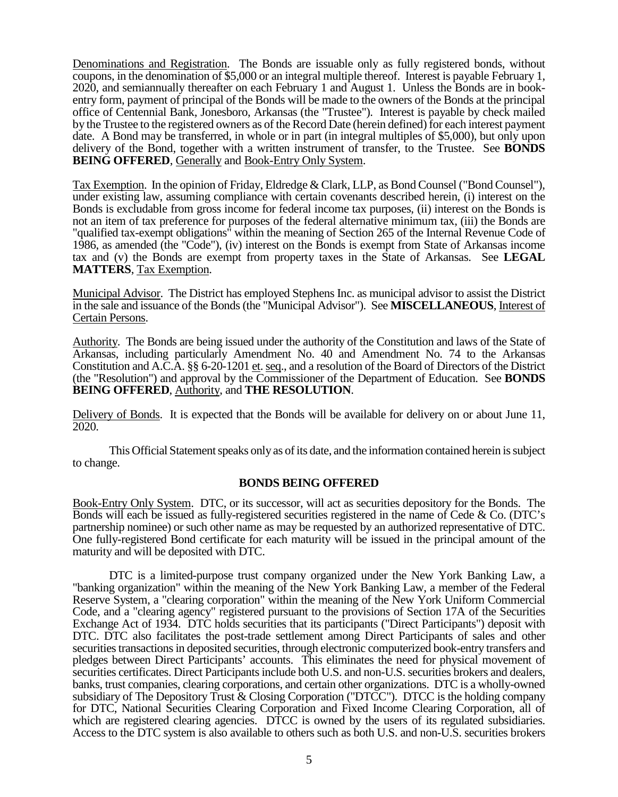Denominations and Registration. The Bonds are issuable only as fully registered bonds, without coupons, in the denomination of \$5,000 or an integral multiple thereof. Interest is payable February 1, 2020, and semiannually thereafter on each February 1 and August 1. Unless the Bonds are in bookentry form, payment of principal of the Bonds will be made to the owners of the Bonds at the principal office of Centennial Bank, Jonesboro, Arkansas (the "Trustee"). Interest is payable by check mailed by the Trustee to the registered owners as of the Record Date (herein defined) for each interest payment date. A Bond may be transferred, in whole or in part (in integral multiples of \$5,000), but only upon delivery of the Bond, together with a written instrument of transfer, to the Trustee. See **BONDS BEING OFFERED.** Generally and Book-Entry Only System.

Tax Exemption. In the opinion of Friday, Eldredge & Clark, LLP, as Bond Counsel ("Bond Counsel"), under existing law, assuming compliance with certain covenants described herein, (i) interest on the Bonds is excludable from gross income for federal income tax purposes, (ii) interest on the Bonds is not an item of tax preference for purposes of the federal alternative minimum tax, (iii) the Bonds are "qualified tax-exempt obligations" within the meaning of Section 265 of the Internal Revenue Code of 1986, as amended (the "Code"), (iv) interest on the Bonds is exempt from State of Arkansas income tax and (v) the Bonds are exempt from property taxes in the State of Arkansas. See **LEGAL MATTERS**, Tax Exemption.

Municipal Advisor. The District has employed Stephens Inc. as municipal advisor to assist the District in the sale and issuance of the Bonds (the "Municipal Advisor"). See **MISCELLANEOUS**, Interest of Certain Persons.

Authority. The Bonds are being issued under the authority of the Constitution and laws of the State of Arkansas, including particularly Amendment No. 40 and Amendment No. 74 to the Arkansas Constitution and A.C.A. §§ 6-20-1201 et. seq., and a resolution of the Board of Directors of the District (the "Resolution") and approval by the Commissioner of the Department of Education. See **BONDS BEING OFFERED**, Authority, and **THE RESOLUTION**.

Delivery of Bonds. It is expected that the Bonds will be available for delivery on or about June 11, 2020.

This Official Statement speaks only as of its date, and the information contained herein is subject to change.

### **BONDS BEING OFFERED**

Book-Entry Only System. DTC, or its successor, will act as securities depository for the Bonds. The Bonds will each be issued as fully-registered securities registered in the name of Cede & Co. (DTC's partnership nominee) or such other name as may be requested by an authorized representative of DTC. One fully-registered Bond certificate for each maturity will be issued in the principal amount of the maturity and will be deposited with DTC.

DTC is a limited-purpose trust company organized under the New York Banking Law, a "banking organization" within the meaning of the New York Banking Law, a member of the Federal Reserve System, a "clearing corporation" within the meaning of the New York Uniform Commercial Code, and a "clearing agency" registered pursuant to the provisions of Section 17A of the Securities Exchange Act of 1934. DTC holds securities that its participants ("Direct Participants") deposit with DTC. DTC also facilitates the post-trade settlement among Direct Participants of sales and other securities transactions in deposited securities, through electronic computerized book-entry transfers and pledges between Direct Participants' accounts. This eliminates the need for physical movement of securities certificates. Direct Participants include both U.S. and non-U.S. securities brokers and dealers, banks, trust companies, clearing corporations, and certain other organizations. DTC is a wholly-owned subsidiary of The Depository Trust & Closing Corporation ("DTCC"). DTCC is the holding company for DTC, National Securities Clearing Corporation and Fixed Income Clearing Corporation, all of which are registered clearing agencies. DTCC is owned by the users of its regulated subsidiaries. Access to the DTC system is also available to others such as both U.S. and non-U.S. securities brokers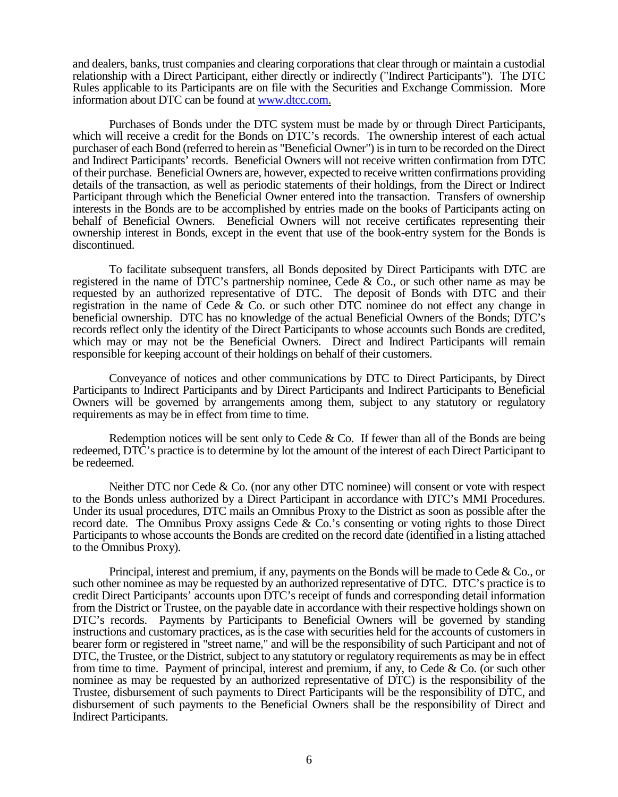and dealers, banks, trust companies and clearing corporations that clear through or maintain a custodial relationship with a Direct Participant, either directly or indirectly ("Indirect Participants"). The DTC Rules applicable to its Participants are on file with the Securities and Exchange Commission. More information about DTC can be found a[t www.dtcc.com.](http://www.dtcc.com/)

Purchases of Bonds under the DTC system must be made by or through Direct Participants, which will receive a credit for the Bonds on DTC's records. The ownership interest of each actual purchaser of each Bond (referred to herein as "Beneficial Owner") is in turn to be recorded on the Direct and Indirect Participants' records. Beneficial Owners will not receive written confirmation from DTC of their purchase. Beneficial Owners are, however, expected to receive written confirmations providing details of the transaction, as well as periodic statements of their holdings, from the Direct or Indirect Participant through which the Beneficial Owner entered into the transaction. Transfers of ownership interests in the Bonds are to be accomplished by entries made on the books of Participants acting on behalf of Beneficial Owners. Beneficial Owners will not receive certificates representing their ownership interest in Bonds, except in the event that use of the book-entry system for the Bonds is discontinued.

To facilitate subsequent transfers, all Bonds deposited by Direct Participants with DTC are registered in the name of DTC's partnership nominee, Cede & Co., or such other name as may be requested by an authorized representative of DTC. The deposit of Bonds with DTC and their registration in the name of Cede & Co. or such other DTC nominee do not effect any change in beneficial ownership. DTC has no knowledge of the actual Beneficial Owners of the Bonds; DTC's records reflect only the identity of the Direct Participants to whose accounts such Bonds are credited, which may or may not be the Beneficial Owners. Direct and Indirect Participants will remain responsible for keeping account of their holdings on behalf of their customers.

Conveyance of notices and other communications by DTC to Direct Participants, by Direct Participants to Indirect Participants and by Direct Participants and Indirect Participants to Beneficial Owners will be governed by arrangements among them, subject to any statutory or regulatory requirements as may be in effect from time to time.

Redemption notices will be sent only to Cede  $&$  Co. If fewer than all of the Bonds are being redeemed, DTC's practice is to determine by lot the amount of the interest of each Direct Participant to be redeemed.

Neither DTC nor Cede & Co. (nor any other DTC nominee) will consent or vote with respect to the Bonds unless authorized by a Direct Participant in accordance with DTC's MMI Procedures. Under its usual procedures, DTC mails an Omnibus Proxy to the District as soon as possible after the record date. The Omnibus Proxy assigns Cede & Co.'s consenting or voting rights to those Direct Participants to whose accounts the Bonds are credited on the record date (identified in a listing attached to the Omnibus Proxy).

Principal, interest and premium, if any, payments on the Bonds will be made to Cede & Co., or such other nominee as may be requested by an authorized representative of DTC. DTC's practice is to credit Direct Participants' accounts upon DTC's receipt of funds and corresponding detail information from the District or Trustee, on the payable date in accordance with their respective holdings shown on DTC's records. Payments by Participants to Beneficial Owners will be governed by standing instructions and customary practices, as is the case with securities held for the accounts of customers in bearer form or registered in "street name," and will be the responsibility of such Participant and not of DTC, the Trustee, or the District, subject to any statutory or regulatory requirements as may be in effect from time to time. Payment of principal, interest and premium, if any, to Cede & Co. (or such other nominee as may be requested by an authorized representative of DTC) is the responsibility of the Trustee, disbursement of such payments to Direct Participants will be the responsibility of DTC, and disbursement of such payments to the Beneficial Owners shall be the responsibility of Direct and Indirect Participants.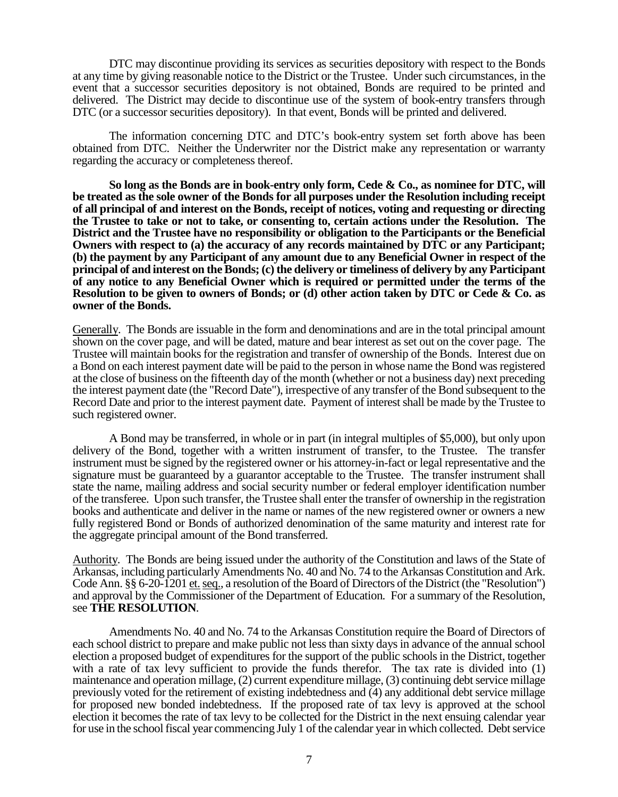DTC may discontinue providing its services as securities depository with respect to the Bonds at any time by giving reasonable notice to the District or the Trustee. Under such circumstances, in the event that a successor securities depository is not obtained, Bonds are required to be printed and delivered. The District may decide to discontinue use of the system of book-entry transfers through DTC (or a successor securities depository). In that event, Bonds will be printed and delivered.

The information concerning DTC and DTC's book-entry system set forth above has been obtained from DTC. Neither the Underwriter nor the District make any representation or warranty regarding the accuracy or completeness thereof.

**So long as the Bonds are in book-entry only form, Cede & Co., as nominee for DTC, will be treated as the sole owner of the Bonds for all purposes under the Resolution including receipt of all principal of and interest on the Bonds, receipt of notices, voting and requesting or directing the Trustee to take or not to take, or consenting to, certain actions under the Resolution. The District and the Trustee have no responsibility or obligation to the Participants or the Beneficial Owners with respect to (a) the accuracy of any records maintained by DTC or any Participant; (b) the payment by any Participant of any amount due to any Beneficial Owner in respect of the principal of and interest on the Bonds; (c) the delivery or timeliness of delivery by any Participant of any notice to any Beneficial Owner which is required or permitted under the terms of the Resolution to be given to owners of Bonds; or (d) other action taken by DTC or Cede & Co. as owner of the Bonds.**

Generally. The Bonds are issuable in the form and denominations and are in the total principal amount shown on the cover page, and will be dated, mature and bear interest as set out on the cover page. The Trustee will maintain books for the registration and transfer of ownership of the Bonds. Interest due on a Bond on each interest payment date will be paid to the person in whose name the Bond was registered at the close of business on the fifteenth day of the month (whether or not a business day) next preceding the interest payment date (the "Record Date"), irrespective of any transfer of the Bond subsequent to the Record Date and prior to the interest payment date. Payment of interest shall be made by the Trustee to such registered owner.

A Bond may be transferred, in whole or in part (in integral multiples of \$5,000), but only upon delivery of the Bond, together with a written instrument of transfer, to the Trustee. The transfer instrument must be signed by the registered owner or his attorney-in-fact or legal representative and the signature must be guaranteed by a guarantor acceptable to the Trustee. The transfer instrument shall state the name, mailing address and social security number or federal employer identification number of the transferee. Upon such transfer, the Trustee shall enter the transfer of ownership in the registration books and authenticate and deliver in the name or names of the new registered owner or owners a new fully registered Bond or Bonds of authorized denomination of the same maturity and interest rate for the aggregate principal amount of the Bond transferred.

Authority. The Bonds are being issued under the authority of the Constitution and laws of the State of Arkansas, including particularly Amendments No. 40 and No. 74 to the Arkansas Constitution and Ark. Code Ann. §§ 6-20-1201 et. seq., a resolution of the Board of Directors of the District (the "Resolution") and approval by the Commissioner of the Department of Education. For a summary of the Resolution, see **THE RESOLUTION**.

Amendments No. 40 and No. 74 to the Arkansas Constitution require the Board of Directors of each school district to prepare and make public not less than sixty days in advance of the annual school election a proposed budget of expenditures for the support of the public schools in the District, together with a rate of tax levy sufficient to provide the funds therefor. The tax rate is divided into (1) maintenance and operation millage, (2) current expenditure millage, (3) continuing debt service millage previously voted for the retirement of existing indebtedness and (4) any additional debt service millage for proposed new bonded indebtedness. If the proposed rate of tax levy is approved at the school election it becomes the rate of tax levy to be collected for the District in the next ensuing calendar year for use in the school fiscal year commencing July 1 of the calendar year in which collected. Debt service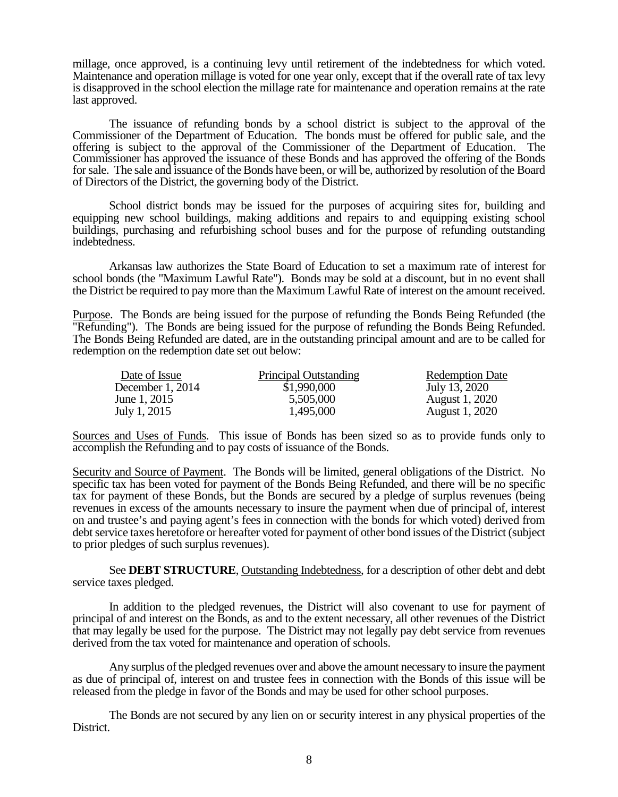millage, once approved, is a continuing levy until retirement of the indebtedness for which voted. Maintenance and operation millage is voted for one year only, except that if the overall rate of tax levy is disapproved in the school election the millage rate for maintenance and operation remains at the rate last approved.

The issuance of refunding bonds by a school district is subject to the approval of the Commissioner of the Department of Education. The bonds must be offered for public sale, and the offering is subject to the approval of the Commissioner of the Department of Education. The Commissioner has approved the issuance of these Bonds and has approved the offering of the Bonds for sale. The sale and issuance of the Bonds have been, or will be, authorized by resolution of the Board of Directors of the District, the governing body of the District.

School district bonds may be issued for the purposes of acquiring sites for, building and equipping new school buildings, making additions and repairs to and equipping existing school buildings, purchasing and refurbishing school buses and for the purpose of refunding outstanding indebtedness.

Arkansas law authorizes the State Board of Education to set a maximum rate of interest for school bonds (the "Maximum Lawful Rate"). Bonds may be sold at a discount, but in no event shall the District be required to pay more than the Maximum Lawful Rate of interest on the amount received.

Purpose. The Bonds are being issued for the purpose of refunding the Bonds Being Refunded (the "Refunding"). The Bonds are being issued for the purpose of refunding the Bonds Being Refunded. The Bonds Being Refunded are dated, are in the outstanding principal amount and are to be called for redemption on the redemption date set out below:

| Date of Issue      | Principal Outstanding | <b>Redemption Date</b> |
|--------------------|-----------------------|------------------------|
| December $1, 2014$ | \$1,990,000           | July 13, 2020          |
| June 1, 2015       | 5,505,000             | <b>August 1, 2020</b>  |
| July 1, 2015       | 1,495,000             | <b>August 1, 2020</b>  |

Sources and Uses of Funds. This issue of Bonds has been sized so as to provide funds only to accomplish the Refunding and to pay costs of issuance of the Bonds.

Security and Source of Payment. The Bonds will be limited, general obligations of the District. No specific tax has been voted for payment of the Bonds Being Refunded, and there will be no specific tax for payment of these Bonds, but the Bonds are secured by a pledge of surplus revenues (being revenues in excess of the amounts necessary to insure the payment when due of principal of, interest on and trustee's and paying agent's fees in connection with the bonds for which voted) derived from debt service taxes heretofore or hereafter voted for payment of other bond issues of the District (subject to prior pledges of such surplus revenues).

See **DEBT STRUCTURE**, Outstanding Indebtedness, for a description of other debt and debt service taxes pledged.

In addition to the pledged revenues, the District will also covenant to use for payment of principal of and interest on the Bonds, as and to the extent necessary, all other revenues of the District that may legally be used for the purpose. The District may not legally pay debt service from revenues derived from the tax voted for maintenance and operation of schools.

Any surplus of the pledged revenues over and above the amount necessary to insure the payment as due of principal of, interest on and trustee fees in connection with the Bonds of this issue will be released from the pledge in favor of the Bonds and may be used for other school purposes.

The Bonds are not secured by any lien on or security interest in any physical properties of the District.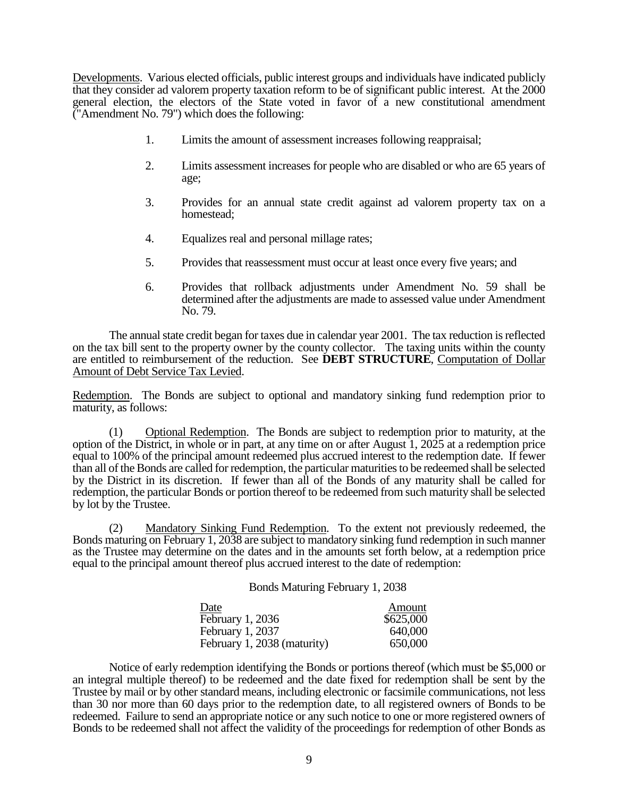Developments. Various elected officials, public interest groups and individuals have indicated publicly that they consider ad valorem property taxation reform to be of significant public interest. At the 2000 general election, the electors of the State voted in favor of a new constitutional amendment ("Amendment No. 79") which does the following:

- 1. Limits the amount of assessment increases following reappraisal;
- 2. Limits assessment increases for people who are disabled or who are 65 years of age;
- 3. Provides for an annual state credit against ad valorem property tax on a homestead;
- 4. Equalizes real and personal millage rates;
- 5. Provides that reassessment must occur at least once every five years; and
- 6. Provides that rollback adjustments under Amendment No. 59 shall be determined after the adjustments are made to assessed value under Amendment No. 79.

The annual state credit began for taxes due in calendar year 2001. The tax reduction is reflected on the tax bill sent to the property owner by the county collector. The taxing units within the county are entitled to reimbursement of the reduction. See **DEBT STRUCTURE**, Computation of Dollar Amount of Debt Service Tax Levied.

Redemption. The Bonds are subject to optional and mandatory sinking fund redemption prior to maturity, as follows:

(1) Optional Redemption. The Bonds are subject to redemption prior to maturity, at the option of the District, in whole or in part, at any time on or after August 1, 2025 at a redemption price equal to 100% of the principal amount redeemed plus accrued interest to the redemption date. If fewer than all of the Bonds are called for redemption, the particular maturities to be redeemed shall be selected by the District in its discretion. If fewer than all of the Bonds of any maturity shall be called for redemption, the particular Bonds or portion thereof to be redeemed from such maturity shall be selected by lot by the Trustee.

(2) Mandatory Sinking Fund Redemption. To the extent not previously redeemed, the Bonds maturing on February 1, 2038 are subject to mandatory sinking fund redemption in such manner as the Trustee may determine on the dates and in the amounts set forth below, at a redemption price equal to the principal amount thereof plus accrued interest to the date of redemption:

Bonds Maturing February 1, 2038

| Date                        | Amount    |
|-----------------------------|-----------|
| February 1, 2036            | \$625,000 |
| February 1, 2037            | 640,000   |
| February 1, 2038 (maturity) | 650,000   |

Notice of early redemption identifying the Bonds or portions thereof (which must be \$5,000 or an integral multiple thereof) to be redeemed and the date fixed for redemption shall be sent by the Trustee by mail or by other standard means, including electronic or facsimile communications, not less than 30 nor more than 60 days prior to the redemption date, to all registered owners of Bonds to be redeemed. Failure to send an appropriate notice or any such notice to one or more registered owners of Bonds to be redeemed shall not affect the validity of the proceedings for redemption of other Bonds as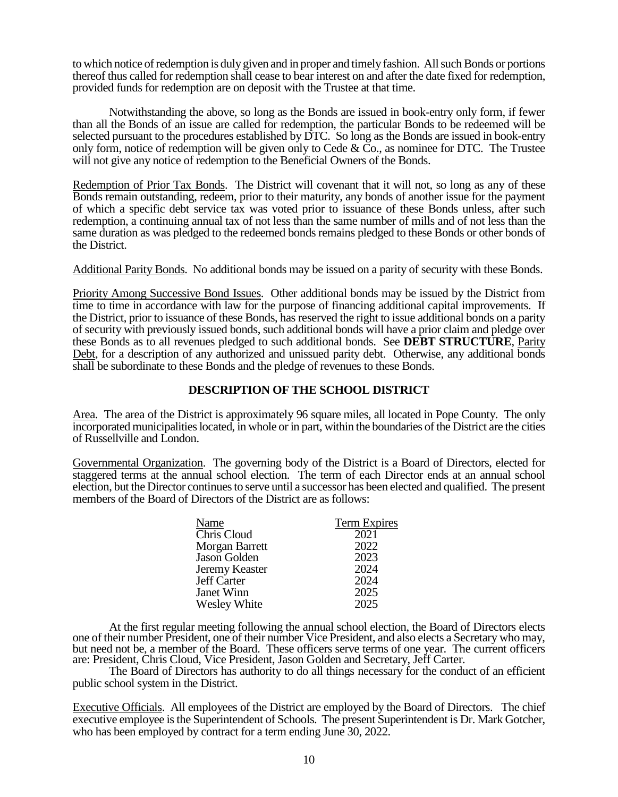to which notice of redemption is duly given and in proper and timely fashion. All such Bonds or portions thereof thus called for redemption shall cease to bear interest on and after the date fixed for redemption, provided funds for redemption are on deposit with the Trustee at that time.

Notwithstanding the above, so long as the Bonds are issued in book-entry only form, if fewer than all the Bonds of an issue are called for redemption, the particular Bonds to be redeemed will be selected pursuant to the procedures established by DTC. So long as the Bonds are issued in book-entry only form, notice of redemption will be given only to Cede  $\&$  Co., as nominee for DTC. The Trustee will not give any notice of redemption to the Beneficial Owners of the Bonds.

Redemption of Prior Tax Bonds. The District will covenant that it will not, so long as any of these Bonds remain outstanding, redeem, prior to their maturity, any bonds of another issue for the payment of which a specific debt service tax was voted prior to issuance of these Bonds unless, after such redemption, a continuing annual tax of not less than the same number of mills and of not less than the same duration as was pledged to the redeemed bonds remains pledged to these Bonds or other bonds of the District.

Additional Parity Bonds. No additional bonds may be issued on a parity of security with these Bonds.

Priority Among Successive Bond Issues. Other additional bonds may be issued by the District from time to time in accordance with law for the purpose of financing additional capital improvements. If the District, prior to issuance of these Bonds, has reserved the right to issue additional bonds on a parity of security with previously issued bonds, such additional bonds will have a prior claim and pledge over these Bonds as to all revenues pledged to such additional bonds. See **DEBT STRUCTURE**, Parity Debt, for a description of any authorized and unissued parity debt. Otherwise, any additional bonds shall be subordinate to these Bonds and the pledge of revenues to these Bonds.

## **DESCRIPTION OF THE SCHOOL DISTRICT**

Area. The area of the District is approximately 96 square miles, all located in Pope County. The only incorporated municipalities located, in whole or in part, within the boundaries of the District are the cities of Russellville and London.

Governmental Organization. The governing body of the District is a Board of Directors, elected for staggered terms at the annual school election. The term of each Director ends at an annual school election, but the Director continues to serve until a successor has been elected and qualified. The present members of the Board of Directors of the District are as follows:

| Name                | Term Expires |
|---------------------|--------------|
| Chris Cloud         | 2021         |
| Morgan Barrett      | 2022         |
| Jason Golden        | 2023         |
| Jeremy Keaster      | 2024         |
| Jeff Carter         | 2024         |
| Janet Winn          | 2025         |
| <b>Wesley White</b> | 2025         |

At the first regular meeting following the annual school election, the Board of Directors elects one of their number President, one of their number Vice President, and also elects a Secretary who may, but need not be, a member of the Board. These officers serve terms of one year. The current officers are: President, Chris Cloud, Vice President, Jason Golden and Secretary, Jeff Carter.

The Board of Directors has authority to do all things necessary for the conduct of an efficient public school system in the District.

Executive Officials. All employees of the District are employed by the Board of Directors. The chief executive employee is the Superintendent of Schools. The present Superintendent is Dr. Mark Gotcher, who has been employed by contract for a term ending June 30, 2022.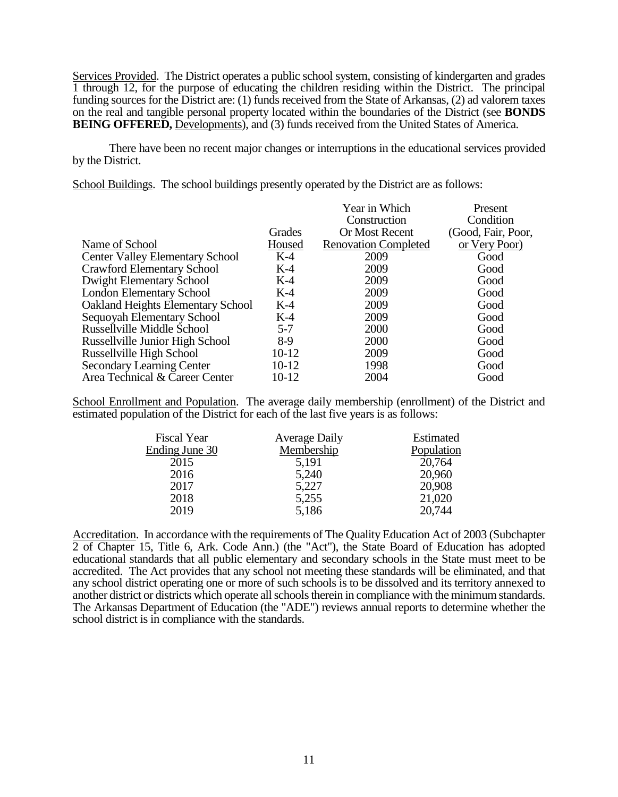Services Provided. The District operates a public school system, consisting of kindergarten and grades 1 through 12, for the purpose of educating the children residing within the District. The principal funding sources for the District are: (1) funds received from the State of Arkansas, (2) ad valorem taxes on the real and tangible personal property located within the boundaries of the District (see **BONDS BEING OFFERED, Developments), and (3) funds received from the United States of America.** 

There have been no recent major changes or interruptions in the educational services provided by the District.

School Buildings. The school buildings presently operated by the District are as follows:

|                                          |         | Year in Which               | Present            |
|------------------------------------------|---------|-----------------------------|--------------------|
|                                          |         | Construction                | Condition          |
|                                          | Grades  | Or Most Recent              | (Good, Fair, Poor, |
| Name of School                           | Housed  | <b>Renovation Completed</b> | or Very Poor)      |
| <b>Center Valley Elementary School</b>   | $K-4$   | 2009                        | Good               |
| <b>Crawford Elementary School</b>        | $K-4$   | 2009                        | Good               |
| Dwight Elementary School                 | $K-4$   | 2009                        | Good               |
| <b>London Elementary School</b>          | $K-4$   | 2009                        | Good               |
| <b>Oakland Heights Elementary School</b> | $K-4$   | 2009                        | Good               |
| Sequoyah Elementary School               | $K-4$   | 2009                        | Good               |
| <b>Russellville Middle School</b>        | $5 - 7$ | 2000                        | Good               |
| Russellville Junior High School          | $8-9$   | 2000                        | Good               |
| Russellville High School                 | $10-12$ | 2009                        | Good               |
| <b>Secondary Learning Center</b>         | 10-12   | 1998                        | Good               |
| Area Technical & Career Center           | 10-12   | 2004                        | Good               |

School Enrollment and Population. The average daily membership (enrollment) of the District and estimated population of the District for each of the last five years is as follows:

| <b>Fiscal Year</b> | <b>Average Daily</b> | Estimated  |
|--------------------|----------------------|------------|
| Ending June 30     | Membership           | Population |
| 2015               | 5,191                | 20,764     |
| 2016               | 5,240                | 20,960     |
| 2017               | 5,227                | 20,908     |
| 2018               | 5,255                | 21,020     |
| 2019               | 5,186                | 20,744     |

Accreditation. In accordance with the requirements of The Quality Education Act of 2003 (Subchapter 2 of Chapter 15, Title 6, Ark. Code Ann.) (the "Act"), the State Board of Education has adopted educational standards that all public elementary and secondary schools in the State must meet to be accredited. The Act provides that any school not meeting these standards will be eliminated, and that any school district operating one or more of such schools is to be dissolved and its territory annexed to another district or districts which operate all schools therein in compliance with the minimum standards. The Arkansas Department of Education (the "ADE") reviews annual reports to determine whether the school district is in compliance with the standards.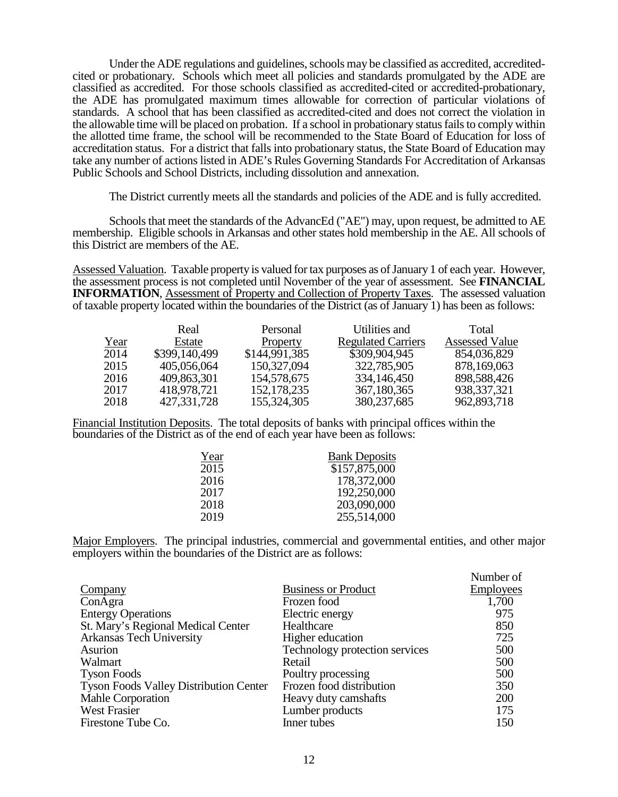Under the ADE regulations and guidelines, schools may be classified as accredited, accreditedcited or probationary. Schools which meet all policies and standards promulgated by the ADE are classified as accredited. For those schools classified as accredited-cited or accredited-probationary, the ADE has promulgated maximum times allowable for correction of particular violations of standards. A school that has been classified as accredited-cited and does not correct the violation in the allowable time will be placed on probation. If a school in probationary status fails to comply within the allotted time frame, the school will be recommended to the State Board of Education for loss of accreditation status. For a district that falls into probationary status, the State Board of Education may take any number of actions listed in ADE's Rules Governing Standards For Accreditation of Arkansas Public Schools and School Districts, including dissolution and annexation.

The District currently meets all the standards and policies of the ADE and is fully accredited.

Schools that meet the standards of the AdvancEd ("AE") may, upon request, be admitted to AE membership. Eligible schools in Arkansas and other states hold membership in the AE. All schools of this District are members of the AE.

Assessed Valuation. Taxable property is valued for tax purposes as of January 1 of each year. However, the assessment process is not completed until November of the year of assessment. See **FINANCIAL INFORMATION**, Assessment of Property and Collection of Property Taxes. The assessed valuation of taxable property located within the boundaries of the District (as of January 1) has been as follows:

|      | Real          | Personal      | Utilities and             | Total                 |
|------|---------------|---------------|---------------------------|-----------------------|
| Year | Estate        | Property      | <b>Regulated Carriers</b> | <b>Assessed Value</b> |
| 2014 | \$399,140,499 | \$144,991,385 | \$309,904,945             | 854,036,829           |
| 2015 | 405,056,064   | 150,327,094   | 322,785,905               | 878,169,063           |
| 2016 | 409,863,301   | 154,578,675   | 334,146,450               | 898,588,426           |
| 2017 | 418,978,721   | 152, 178, 235 | 367,180,365               | 938, 337, 321         |
| 2018 | 427,331,728   | 155,324,305   | 380, 237, 685             | 962,893,718           |

Financial Institution Deposits. The total deposits of banks with principal offices within the boundaries of the District as of the end of each year have been as follows:

| Year | <b>Bank Deposits</b> |
|------|----------------------|
| 2015 | \$157,875,000        |
| 2016 | 178,372,000          |
| 2017 | 192,250,000          |
| 2018 | 203,090,000          |
| 2019 | 255,514,000          |

Major Employers. The principal industries, commercial and governmental entities, and other major employers within the boundaries of the District are as follows:

|                                               |                                | Number of        |
|-----------------------------------------------|--------------------------------|------------------|
| <b>Company</b>                                | <b>Business or Product</b>     | <b>Employees</b> |
| ConAgra                                       | Frozen food                    | 1,700            |
| <b>Entergy Operations</b>                     | Electric energy                | 975              |
| St. Mary's Regional Medical Center            | Healthcare                     | 850              |
| <b>Arkansas Tech University</b>               | Higher education               | 725              |
| Asurion                                       | Technology protection services | 500              |
| Walmart                                       | Retail                         | 500              |
| <b>Tyson Foods</b>                            | Poultry processing             | 500              |
| <b>Tyson Foods Valley Distribution Center</b> | Frozen food distribution       | 350              |
| Mahle Corporation                             | Heavy duty camshafts           | 200              |
| <b>West Frasier</b>                           | Lumber products                | 175              |
| Firestone Tube Co.                            | Inner tubes                    | 150              |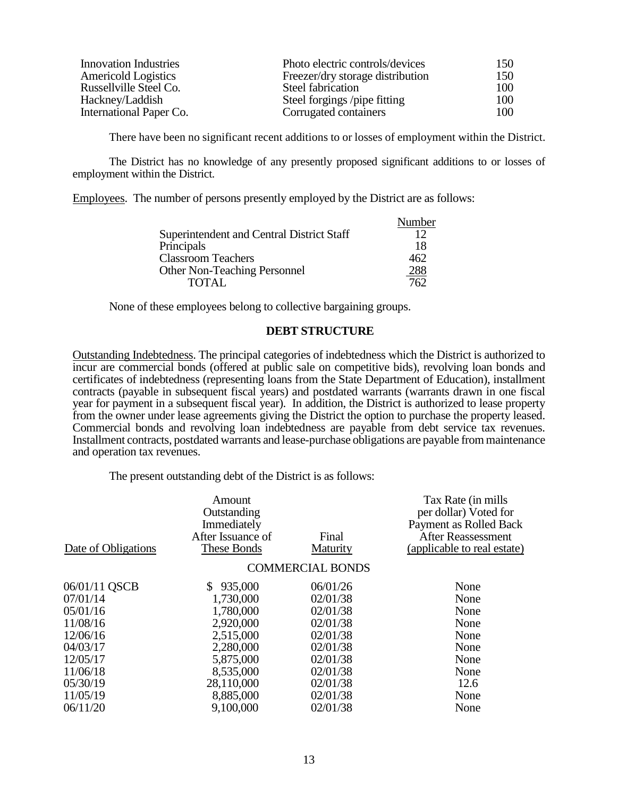| <b>Innovation Industries</b> | Photo electric controls/devices  | 150 |
|------------------------------|----------------------------------|-----|
| <b>Americold Logistics</b>   | Freezer/dry storage distribution | 150 |
| Russellville Steel Co.       | Steel fabrication                | 100 |
| Hackney/Laddish              | Steel forgings /pipe fitting     | 100 |
| International Paper Co.      | Corrugated containers            | 100 |

There have been no significant recent additions to or losses of employment within the District.

The District has no knowledge of any presently proposed significant additions to or losses of employment within the District.

Employees. The number of persons presently employed by the District are as follows:

|                                           | Number |
|-------------------------------------------|--------|
| Superintendent and Central District Staff | 12     |
| Principals                                | 18     |
| <b>Classroom Teachers</b>                 | 462    |
| <b>Other Non-Teaching Personnel</b>       | 288    |
| <b>TOTAL</b>                              | 762    |

None of these employees belong to collective bargaining groups.

#### **DEBT STRUCTURE**

Outstanding Indebtedness. The principal categories of indebtedness which the District is authorized to incur are commercial bonds (offered at public sale on competitive bids), revolving loan bonds and certificates of indebtedness (representing loans from the State Department of Education), installment contracts (payable in subsequent fiscal years) and postdated warrants (warrants drawn in one fiscal year for payment in a subsequent fiscal year). In addition, the District is authorized to lease property from the owner under lease agreements giving the District the option to purchase the property leased. Commercial bonds and revolving loan indebtedness are payable from debt service tax revenues. Installment contracts, postdated warrants and lease-purchase obligations are payable from maintenance and operation tax revenues.

The present outstanding debt of the District is as follows:

| Amount<br>Outstanding<br>Immediately<br>After Issuance of | Final                                 | Tax Rate (in mills)<br>per dollar) Voted for<br>Payment as Rolled Back<br>After Reassessment<br>(applicable to real estate) |
|-----------------------------------------------------------|---------------------------------------|-----------------------------------------------------------------------------------------------------------------------------|
|                                                           |                                       |                                                                                                                             |
|                                                           |                                       |                                                                                                                             |
|                                                           | 06/01/26                              | None                                                                                                                        |
| 1,730,000                                                 | 02/01/38                              | None                                                                                                                        |
| 1,780,000                                                 | 02/01/38                              | None                                                                                                                        |
| 2,920,000                                                 | 02/01/38                              | None                                                                                                                        |
| 2,515,000                                                 | 02/01/38                              | None                                                                                                                        |
| 2,280,000                                                 | 02/01/38                              | None                                                                                                                        |
| 5,875,000                                                 | 02/01/38                              | None                                                                                                                        |
|                                                           | 02/01/38                              | None                                                                                                                        |
| 28,110,000                                                | 02/01/38                              | 12.6                                                                                                                        |
| 8,885,000                                                 | 02/01/38                              | None                                                                                                                        |
| 9,100,000                                                 | 02/01/38                              | None                                                                                                                        |
|                                                           | These Bonds<br>\$935,000<br>8,535,000 | Maturity<br><b>COMMERCIAL BONDS</b>                                                                                         |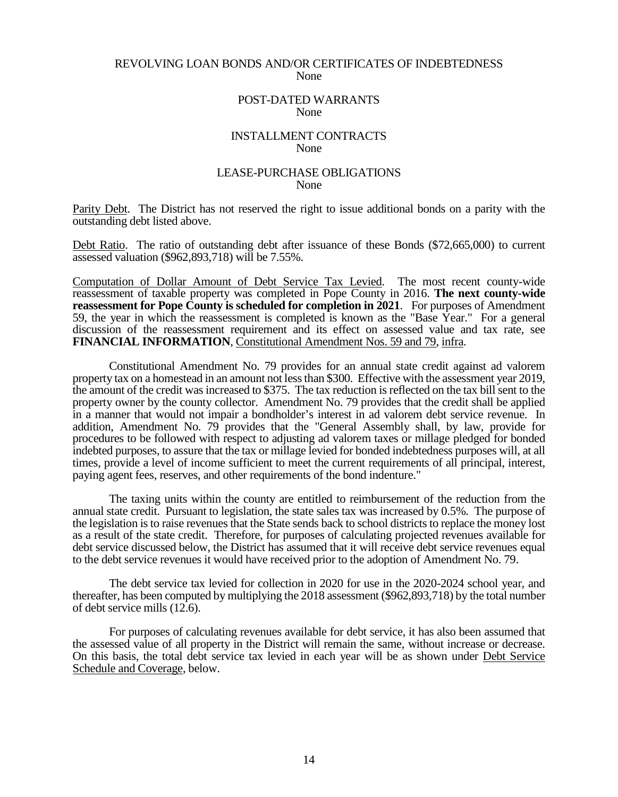#### REVOLVING LOAN BONDS AND/OR CERTIFICATES OF INDEBTEDNESS None

#### POST-DATED WARRANTS None

#### INSTALLMENT CONTRACTS None

#### LEASE-PURCHASE OBLIGATIONS None

Parity Debt. The District has not reserved the right to issue additional bonds on a parity with the outstanding debt listed above.

Debt Ratio. The ratio of outstanding debt after issuance of these Bonds (\$72,665,000) to current assessed valuation (\$962,893,718) will be 7.55%.

Computation of Dollar Amount of Debt Service Tax Levied. The most recent county-wide reassessment of taxable property was completed in Pope County in 2016. **The next county-wide reassessment for Pope County is scheduled for completion in 2021**. For purposes of Amendment 59, the year in which the reassessment is completed is known as the "Base Year." For a general discussion of the reassessment requirement and its effect on assessed value and tax rate, see **FINANCIAL INFORMATION**, Constitutional Amendment Nos. 59 and 79, infra.

Constitutional Amendment No. 79 provides for an annual state credit against ad valorem property tax on a homestead in an amount not less than \$300. Effective with the assessment year 2019, the amount of the credit was increased to \$375. The tax reduction is reflected on the tax bill sent to the property owner by the county collector. Amendment No. 79 provides that the credit shall be applied in a manner that would not impair a bondholder's interest in ad valorem debt service revenue. In addition, Amendment No. 79 provides that the "General Assembly shall, by law, provide for procedures to be followed with respect to adjusting ad valorem taxes or millage pledged for bonded indebted purposes, to assure that the tax or millage levied for bonded indebtedness purposes will, at all times, provide a level of income sufficient to meet the current requirements of all principal, interest, paying agent fees, reserves, and other requirements of the bond indenture."

The taxing units within the county are entitled to reimbursement of the reduction from the annual state credit. Pursuant to legislation, the state sales tax was increased by 0.5%. The purpose of the legislation is to raise revenues that the State sends back to school districts to replace the money lost as a result of the state credit. Therefore, for purposes of calculating projected revenues available for debt service discussed below, the District has assumed that it will receive debt service revenues equal to the debt service revenues it would have received prior to the adoption of Amendment No. 79.

The debt service tax levied for collection in 2020 for use in the 2020-2024 school year, and thereafter, has been computed by multiplying the 2018 assessment (\$962,893,718) by the total number of debt service mills (12.6).

For purposes of calculating revenues available for debt service, it has also been assumed that the assessed value of all property in the District will remain the same, without increase or decrease. On this basis, the total debt service tax levied in each year will be as shown under Debt Service Schedule and Coverage, below.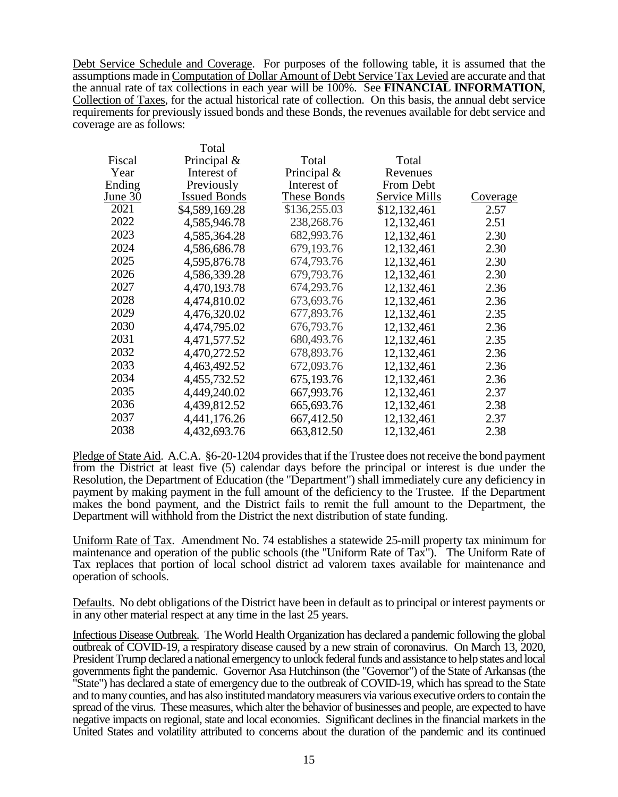Debt Service Schedule and Coverage. For purposes of the following table, it is assumed that the assumptions made in Computation of Dollar Amount of Debt Service Tax Levied are accurate and that the annual rate of tax collections in each year will be 100%. See **FINANCIAL INFORMATION**, Collection of Taxes, for the actual historical rate of collection. On this basis, the annual debt service requirements for previously issued bonds and these Bonds, the revenues available for debt service and coverage are as follows:

|           | Total               |                |                      |                 |
|-----------|---------------------|----------------|----------------------|-----------------|
| Fiscal    | Principal $\&$      | Total          | Total                |                 |
| Year      | Interest of         | Principal $\&$ | Revenues             |                 |
| Ending    | Previously          | Interest of    | From Debt            |                 |
| June $30$ | <b>Issued Bonds</b> | These Bonds    | <b>Service Mills</b> | <u>Coverage</u> |
| 2021      | \$4,589,169.28      | \$136,255.03   | \$12,132,461         | 2.57            |
| 2022      | 4,585,946.78        | 238,268.76     | 12,132,461           | 2.51            |
| 2023      | 4,585,364.28        | 682,993.76     | 12,132,461           | 2.30            |
| 2024      | 4,586,686.78        | 679,193.76     | 12,132,461           | 2.30            |
| 2025      | 4,595,876.78        | 674,793.76     | 12,132,461           | 2.30            |
| 2026      | 4,586,339.28        | 679,793.76     | 12,132,461           | 2.30            |
| 2027      | 4,470,193.78        | 674,293.76     | 12,132,461           | 2.36            |
| 2028      | 4,474,810.02        | 673,693.76     | 12,132,461           | 2.36            |
| 2029      | 4,476,320.02        | 677,893.76     | 12,132,461           | 2.35            |
| 2030      | 4,474,795.02        | 676,793.76     | 12,132,461           | 2.36            |
| 2031      | 4,471,577.52        | 680,493.76     | 12,132,461           | 2.35            |
| 2032      | 4,470,272.52        | 678,893.76     | 12,132,461           | 2.36            |
| 2033      | 4,463,492.52        | 672,093.76     | 12,132,461           | 2.36            |
| 2034      | 4,455,732.52        | 675,193.76     | 12,132,461           | 2.36            |
| 2035      | 4,449,240.02        | 667,993.76     | 12,132,461           | 2.37            |
| 2036      | 4,439,812.52        | 665,693.76     | 12,132,461           | 2.38            |
| 2037      | 4,441,176.26        | 667,412.50     | 12,132,461           | 2.37            |
| 2038      | 4,432,693.76        | 663,812.50     | 12,132,461           | 2.38            |

Pledge of State Aid. A.C.A. §6-20-1204 provides that if the Trustee does not receive the bond payment from the District at least five (5) calendar days before the principal or interest is due under the Resolution, the Department of Education (the "Department") shall immediately cure any deficiency in payment by making payment in the full amount of the deficiency to the Trustee. If the Department makes the bond payment, and the District fails to remit the full amount to the Department, the Department will withhold from the District the next distribution of state funding.

Uniform Rate of Tax. Amendment No. 74 establishes a statewide 25-mill property tax minimum for maintenance and operation of the public schools (the "Uniform Rate of Tax"). The Uniform Rate of Tax replaces that portion of local school district ad valorem taxes available for maintenance and operation of schools.

Defaults. No debt obligations of the District have been in default as to principal or interest payments or in any other material respect at any time in the last 25 years.

Infectious Disease Outbreak. The World Health Organization has declared a pandemic following the global outbreak of COVID-19, a respiratory disease caused by a new strain of coronavirus. On March 13, 2020, President Trump declared a national emergency to unlock federal funds and assistance to help states and local governments fight the pandemic. Governor Asa Hutchinson (the "Governor") of the State of Arkansas (the "State") has declared a state of emergency due to the outbreak of COVID-19, which has spread to the State and to many counties, and has also instituted mandatory measurers via various executive orders to contain the spread of the virus. These measures, which alter the behavior of businesses and people, are expected to have negative impacts on regional, state and local economies. Significant declines in the financial markets in the United States and volatility attributed to concerns about the duration of the pandemic and its continued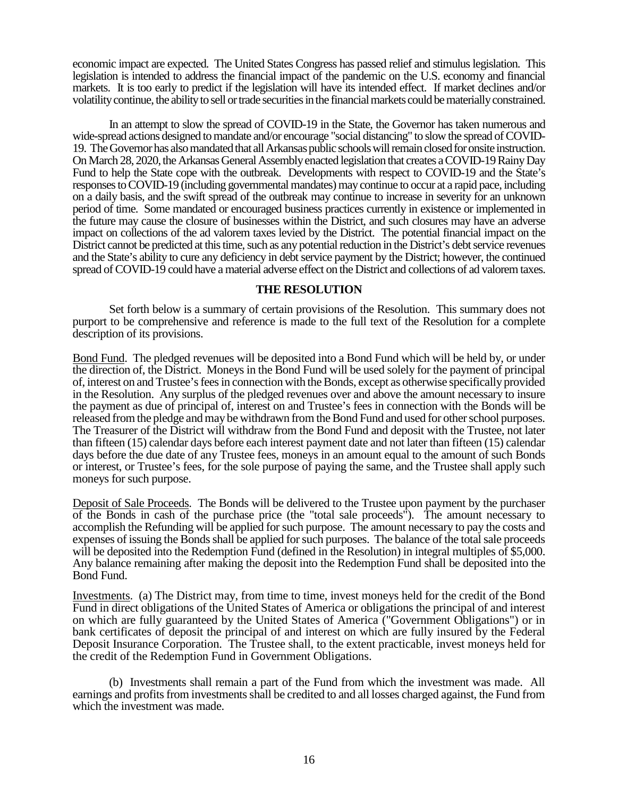economic impact are expected. The United States Congress has passed relief and stimulus legislation. This legislation is intended to address the financial impact of the pandemic on the U.S. economy and financial markets. It is too early to predict if the legislation will have its intended effect. If market declines and/or volatility continue, the ability to sell or trade securities in the financial markets could be materially constrained.

In an attempt to slow the spread of COVID-19 in the State, the Governor has taken numerous and wide-spread actions designed to mandate and/or encourage "social distancing" to slow the spread of COVID-19. The Governor has also mandated that all Arkansas public schools will remain closed for onsite instruction. On March 28, 2020, the Arkansas General Assembly enacted legislation that creates a COVID-19 Rainy Day Fund to help the State cope with the outbreak. Developments with respect to COVID-19 and the State's responses to COVID-19 (including governmental mandates) may continue to occur at a rapid pace, including on a daily basis, and the swift spread of the outbreak may continue to increase in severity for an unknown period of time. Some mandated or encouraged business practices currently in existence or implemented in the future may cause the closure of businesses within the District, and such closures may have an adverse impact on collections of the ad valorem taxes levied by the District. The potential financial impact on the District cannot be predicted at this time, such as any potential reduction in the District's debt service revenues and the State's ability to cure any deficiency in debt service payment by the District; however, the continued spread of COVID-19 could have a material adverse effect on the District and collections of ad valorem taxes.

#### **THE RESOLUTION**

Set forth below is a summary of certain provisions of the Resolution. This summary does not purport to be comprehensive and reference is made to the full text of the Resolution for a complete description of its provisions.

Bond Fund. The pledged revenues will be deposited into a Bond Fund which will be held by, or under the direction of, the District. Moneys in the Bond Fund will be used solely for the payment of principal of, interest on and Trustee's fees in connection with the Bonds, except as otherwise specifically provided in the Resolution. Any surplus of the pledged revenues over and above the amount necessary to insure the payment as due of principal of, interest on and Trustee's fees in connection with the Bonds will be released from the pledge and may be withdrawn from the Bond Fund and used for other school purposes. The Treasurer of the District will withdraw from the Bond Fund and deposit with the Trustee, not later than fifteen (15) calendar days before each interest payment date and not later than fifteen (15) calendar days before the due date of any Trustee fees, moneys in an amount equal to the amount of such Bonds or interest, or Trustee's fees, for the sole purpose of paying the same, and the Trustee shall apply such moneys for such purpose.

Deposit of Sale Proceeds. The Bonds will be delivered to the Trustee upon payment by the purchaser of the Bonds in cash of the purchase price (the "total sale proceeds"). The amount necessary to accomplish the Refunding will be applied for such purpose. The amount necessary to pay the costs and expenses of issuing the Bonds shall be applied for such purposes. The balance of the total sale proceeds will be deposited into the Redemption Fund (defined in the Resolution) in integral multiples of \$5,000. Any balance remaining after making the deposit into the Redemption Fund shall be deposited into the Bond Fund.

Investments. (a) The District may, from time to time, invest moneys held for the credit of the Bond Fund in direct obligations of the United States of America or obligations the principal of and interest on which are fully guaranteed by the United States of America ("Government Obligations") or in bank certificates of deposit the principal of and interest on which are fully insured by the Federal Deposit Insurance Corporation. The Trustee shall, to the extent practicable, invest moneys held for the credit of the Redemption Fund in Government Obligations.

(b) Investments shall remain a part of the Fund from which the investment was made. All earnings and profits from investments shall be credited to and all losses charged against, the Fund from which the investment was made.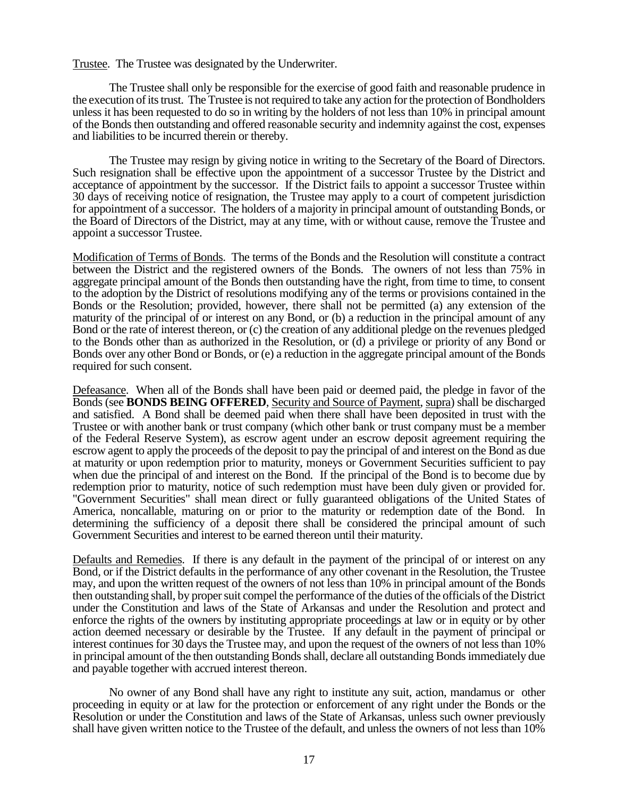Trustee. The Trustee was designated by the Underwriter.

The Trustee shall only be responsible for the exercise of good faith and reasonable prudence in the execution of its trust. The Trustee is not required to take any action for the protection of Bondholders unless it has been requested to do so in writing by the holders of not less than 10% in principal amount of the Bonds then outstanding and offered reasonable security and indemnity against the cost, expenses and liabilities to be incurred therein or thereby.

The Trustee may resign by giving notice in writing to the Secretary of the Board of Directors. Such resignation shall be effective upon the appointment of a successor Trustee by the District and acceptance of appointment by the successor. If the District fails to appoint a successor Trustee within 30 days of receiving notice of resignation, the Trustee may apply to a court of competent jurisdiction for appointment of a successor. The holders of a majority in principal amount of outstanding Bonds, or the Board of Directors of the District, may at any time, with or without cause, remove the Trustee and appoint a successor Trustee.

Modification of Terms of Bonds. The terms of the Bonds and the Resolution will constitute a contract between the District and the registered owners of the Bonds. The owners of not less than 75% in aggregate principal amount of the Bonds then outstanding have the right, from time to time, to consent to the adoption by the District of resolutions modifying any of the terms or provisions contained in the Bonds or the Resolution; provided, however, there shall not be permitted (a) any extension of the maturity of the principal of or interest on any Bond, or (b) a reduction in the principal amount of any Bond or the rate of interest thereon, or (c) the creation of any additional pledge on the revenues pledged to the Bonds other than as authorized in the Resolution, or (d) a privilege or priority of any Bond or Bonds over any other Bond or Bonds, or (e) a reduction in the aggregate principal amount of the Bonds required for such consent.

Defeasance. When all of the Bonds shall have been paid or deemed paid, the pledge in favor of the Bonds (see **BONDS BEING OFFERED**, Security and Source of Payment, supra) shall be discharged and satisfied. A Bond shall be deemed paid when there shall have been deposited in trust with the Trustee or with another bank or trust company (which other bank or trust company must be a member of the Federal Reserve System), as escrow agent under an escrow deposit agreement requiring the escrow agent to apply the proceeds of the deposit to pay the principal of and interest on the Bond as due at maturity or upon redemption prior to maturity, moneys or Government Securities sufficient to pay when due the principal of and interest on the Bond. If the principal of the Bond is to become due by redemption prior to maturity, notice of such redemption must have been duly given or provided for. "Government Securities" shall mean direct or fully guaranteed obligations of the United States of America, noncallable, maturing on or prior to the maturity or redemption date of the Bond. In determining the sufficiency of a deposit there shall be considered the principal amount of such Government Securities and interest to be earned thereon until their maturity.

Defaults and Remedies. If there is any default in the payment of the principal of or interest on any Bond, or if the District defaults in the performance of any other covenant in the Resolution, the Trustee may, and upon the written request of the owners of not less than 10% in principal amount of the Bonds then outstanding shall, by proper suit compel the performance of the duties of the officials of the District under the Constitution and laws of the State of Arkansas and under the Resolution and protect and enforce the rights of the owners by instituting appropriate proceedings at law or in equity or by other action deemed necessary or desirable by the Trustee. If any default in the payment of principal or interest continues for 30 days the Trustee may, and upon the request of the owners of not less than 10% in principal amount of the then outstanding Bonds shall, declare all outstanding Bonds immediately due and payable together with accrued interest thereon.

No owner of any Bond shall have any right to institute any suit, action, mandamus or other proceeding in equity or at law for the protection or enforcement of any right under the Bonds or the Resolution or under the Constitution and laws of the State of Arkansas, unless such owner previously shall have given written notice to the Trustee of the default, and unless the owners of not less than 10%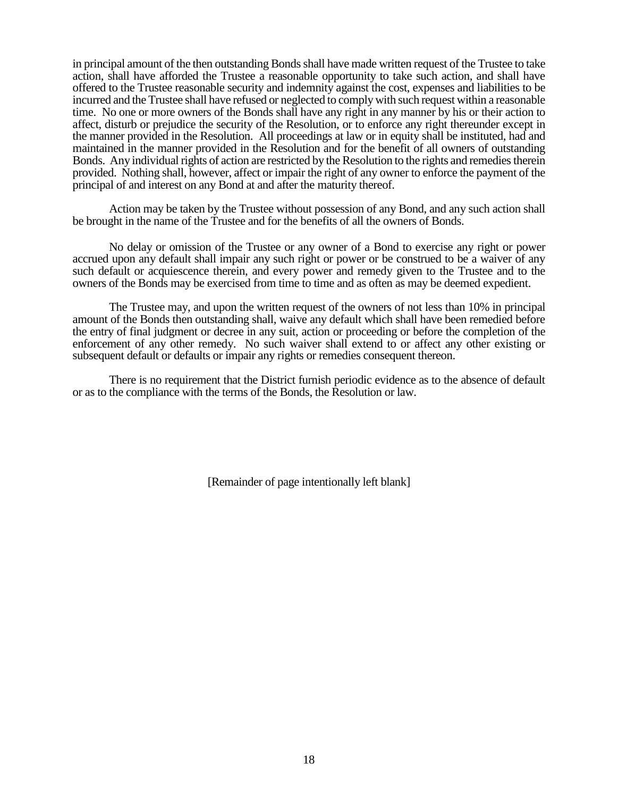in principal amount of the then outstanding Bonds shall have made written request of the Trustee to take action, shall have afforded the Trustee a reasonable opportunity to take such action, and shall have offered to the Trustee reasonable security and indemnity against the cost, expenses and liabilities to be incurred and the Trustee shall have refused or neglected to comply with such request within a reasonable time. No one or more owners of the Bonds shall have any right in any manner by his or their action to affect, disturb or prejudice the security of the Resolution, or to enforce any right thereunder except in the manner provided in the Resolution. All proceedings at law or in equity shall be instituted, had and maintained in the manner provided in the Resolution and for the benefit of all owners of outstanding Bonds. Any individual rights of action are restricted by the Resolution to the rights and remedies therein provided. Nothing shall, however, affect or impair the right of any owner to enforce the payment of the principal of and interest on any Bond at and after the maturity thereof.

Action may be taken by the Trustee without possession of any Bond, and any such action shall be brought in the name of the Trustee and for the benefits of all the owners of Bonds.

No delay or omission of the Trustee or any owner of a Bond to exercise any right or power accrued upon any default shall impair any such right or power or be construed to be a waiver of any such default or acquiescence therein, and every power and remedy given to the Trustee and to the owners of the Bonds may be exercised from time to time and as often as may be deemed expedient.

The Trustee may, and upon the written request of the owners of not less than 10% in principal amount of the Bonds then outstanding shall, waive any default which shall have been remedied before the entry of final judgment or decree in any suit, action or proceeding or before the completion of the enforcement of any other remedy. No such waiver shall extend to or affect any other existing or subsequent default or defaults or impair any rights or remedies consequent thereon.

There is no requirement that the District furnish periodic evidence as to the absence of default or as to the compliance with the terms of the Bonds, the Resolution or law.

[Remainder of page intentionally left blank]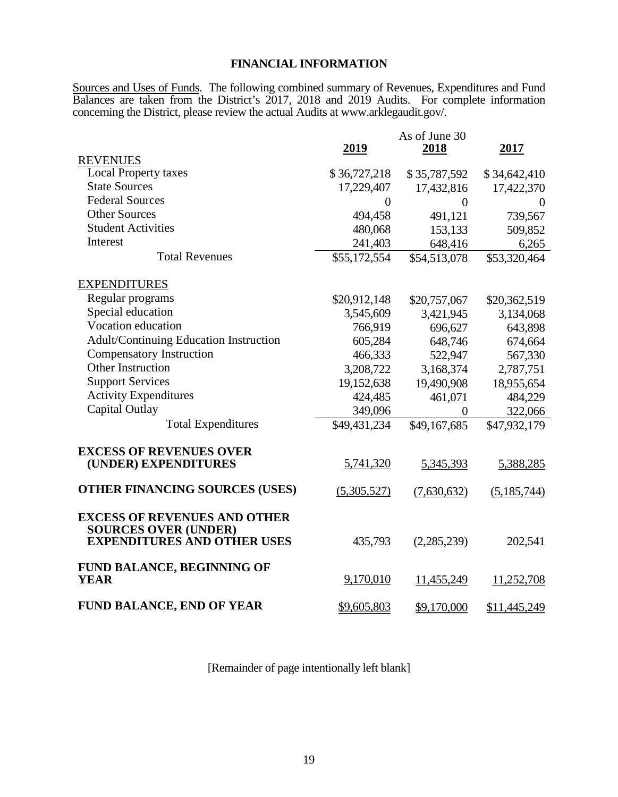## **FINANCIAL INFORMATION**

Sources and Uses of Funds. The following combined summary of Revenues, Expenditures and Fund Balances are taken from the District's 2017, 2018 and 2019 Audits. For complete information concerning the District, please review the actual Audits at www.arklegaudit.gov/.

|                                                                                                          | 2019           | As of June 30<br>2018 | 2017         |
|----------------------------------------------------------------------------------------------------------|----------------|-----------------------|--------------|
| <b>REVENUES</b>                                                                                          |                |                       |              |
| <b>Local Property taxes</b>                                                                              | \$36,727,218   | \$35,787,592          | \$34,642,410 |
| <b>State Sources</b>                                                                                     | 17,229,407     | 17,432,816            | 17,422,370   |
| <b>Federal Sources</b>                                                                                   | $\overline{0}$ | $\overline{0}$        | $\theta$     |
| <b>Other Sources</b>                                                                                     | 494,458        | 491,121               | 739,567      |
| <b>Student Activities</b>                                                                                | 480,068        | 153,133               | 509,852      |
| Interest                                                                                                 | 241,403        | 648,416               | 6,265        |
| <b>Total Revenues</b>                                                                                    | \$55,172,554   | \$54,513,078          | \$53,320,464 |
| <b>EXPENDITURES</b>                                                                                      |                |                       |              |
| Regular programs                                                                                         | \$20,912,148   | \$20,757,067          | \$20,362,519 |
| Special education                                                                                        | 3,545,609      | 3,421,945             | 3,134,068    |
| Vocation education                                                                                       | 766,919        | 696,627               | 643,898      |
| Adult/Continuing Education Instruction                                                                   | 605,284        | 648,746               | 674,664      |
| <b>Compensatory Instruction</b>                                                                          | 466,333        | 522,947               | 567,330      |
| Other Instruction                                                                                        | 3,208,722      | 3,168,374             | 2,787,751    |
| <b>Support Services</b>                                                                                  | 19,152,638     | 19,490,908            | 18,955,654   |
| <b>Activity Expenditures</b>                                                                             | 424,485        | 461,071               | 484,229      |
| Capital Outlay                                                                                           | 349,096        | $\overline{0}$        | 322,066      |
| <b>Total Expenditures</b>                                                                                | \$49,431,234   | \$49,167,685          | \$47,932,179 |
|                                                                                                          |                |                       |              |
| <b>EXCESS OF REVENUES OVER</b><br>(UNDER) EXPENDITURES                                                   | 5,741,320      | 5,345,393             | 5,388,285    |
| <b>OTHER FINANCING SOURCES (USES)</b>                                                                    | (5,305,527)    | (7,630,632)           | (5,185,744)  |
| <b>EXCESS OF REVENUES AND OTHER</b><br><b>SOURCES OVER (UNDER)</b><br><b>EXPENDITURES AND OTHER USES</b> | 435,793        | (2,285,239)           | 202,541      |
| FUND BALANCE, BEGINNING OF<br><b>YEAR</b>                                                                | 9,170,010      | 11,455,249            | 11,252,708   |
| <b>FUND BALANCE, END OF YEAR</b>                                                                         | \$9,605,803    | \$9,170,000           | \$11,445,249 |

[Remainder of page intentionally left blank]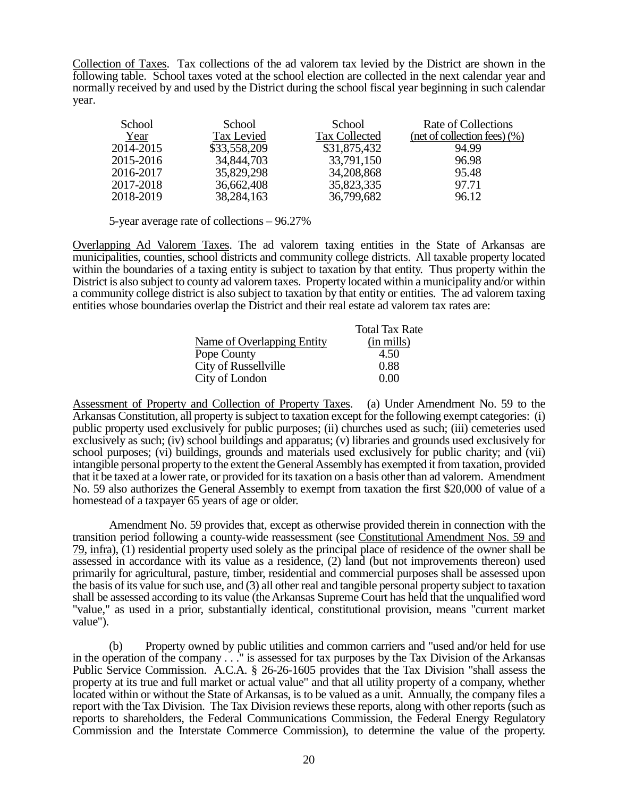Collection of Taxes. Tax collections of the ad valorem tax levied by the District are shown in the following table. School taxes voted at the school election are collected in the next calendar year and normally received by and used by the District during the school fiscal year beginning in such calendar year.

| School    | School       | School               | Rate of Collections                   |
|-----------|--------------|----------------------|---------------------------------------|
| Year      | Tax Levied   | <b>Tax Collected</b> | $(\text{net of collection fees})(\%)$ |
| 2014-2015 | \$33,558,209 | \$31,875,432         | 94.99                                 |
| 2015-2016 | 34,844,703   | 33,791,150           | 96.98                                 |
| 2016-2017 | 35,829,298   | 34,208,868           | 95.48                                 |
| 2017-2018 | 36,662,408   | 35,823,335           | 97.71                                 |
| 2018-2019 | 38,284,163   | 36,799,682           | 96.12                                 |

5-year average rate of collections – 96.27%

Overlapping Ad Valorem Taxes. The ad valorem taxing entities in the State of Arkansas are municipalities, counties, school districts and community college districts. All taxable property located within the boundaries of a taxing entity is subject to taxation by that entity. Thus property within the District is also subject to county ad valorem taxes. Property located within a municipality and/or within a community college district is also subject to taxation by that entity or entities. The ad valorem taxing entities whose boundaries overlap the District and their real estate ad valorem tax rates are:

|                            | <b>Total Tax Rate</b> |
|----------------------------|-----------------------|
| Name of Overlapping Entity | (in mills)            |
| Pope County                | 4.50                  |
| City of Russellville       | 0.88                  |
| City of London             | 0. QQ                 |

Assessment of Property and Collection of Property Taxes. (a) Under Amendment No. 59 to the Arkansas Constitution, all property is subject to taxation except for the following exempt categories: (i) public property used exclusively for public purposes; (ii) churches used as such; (iii) cemeteries used exclusively as such; (iv) school buildings and apparatus; (v) libraries and grounds used exclusively for school purposes; (vi) buildings, grounds and materials used exclusively for public charity; and (vii) intangible personal property to the extent the General Assembly has exempted it from taxation, provided that it be taxed at a lower rate, or provided for its taxation on a basis other than ad valorem. Amendment No. 59 also authorizes the General Assembly to exempt from taxation the first \$20,000 of value of a homestead of a taxpayer 65 years of age or older.

Amendment No. 59 provides that, except as otherwise provided therein in connection with the transition period following a county-wide reassessment (see Constitutional Amendment Nos. 59 and 79, infra), (1) residential property used solely as the principal place of residence of the owner shall be assessed in accordance with its value as a residence, (2) land (but not improvements thereon) used primarily for agricultural, pasture, timber, residential and commercial purposes shall be assessed upon the basis of its value for such use, and (3) all other real and tangible personal property subject to taxation shall be assessed according to its value (the Arkansas Supreme Court has held that the unqualified word "value," as used in a prior, substantially identical, constitutional provision, means "current market value").

(b) Property owned by public utilities and common carriers and "used and/or held for use in the operation of the company . . ." is assessed for tax purposes by the Tax Division of the Arkansas Public Service Commission. A.C.A. § 26-26-1605 provides that the Tax Division "shall assess the property at its true and full market or actual value" and that all utility property of a company, whether located within or without the State of Arkansas, is to be valued as a unit. Annually, the company files a report with the Tax Division. The Tax Division reviews these reports, along with other reports (such as reports to shareholders, the Federal Communications Commission, the Federal Energy Regulatory Commission and the Interstate Commerce Commission), to determine the value of the property.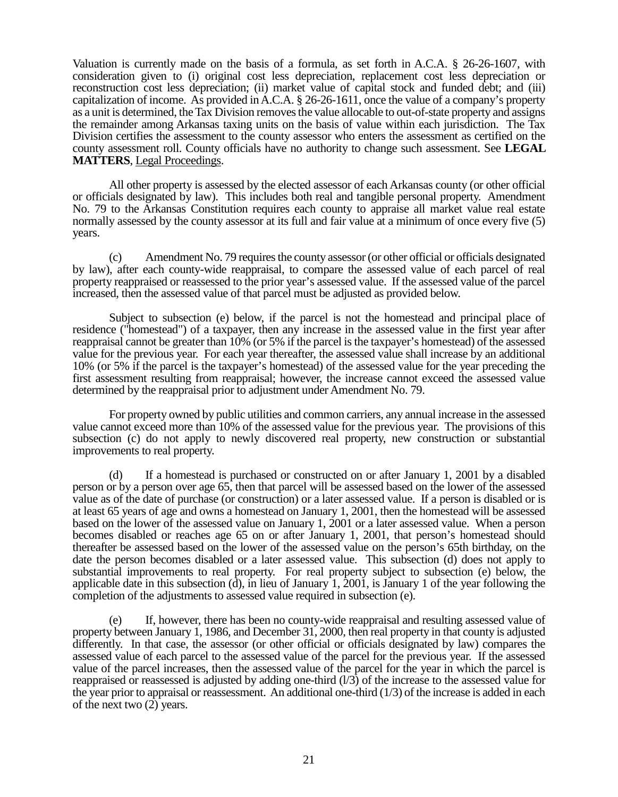Valuation is currently made on the basis of a formula, as set forth in A.C.A. § 26-26-1607, with consideration given to (i) original cost less depreciation, replacement cost less depreciation or reconstruction cost less depreciation; (ii) market value of capital stock and funded debt; and (iii) capitalization of income. As provided in A.C.A. § 26-26-1611, once the value of a company's property as a unit is determined, the Tax Division removes the value allocable to out-of-state property and assigns the remainder among Arkansas taxing units on the basis of value within each jurisdiction. The Tax Division certifies the assessment to the county assessor who enters the assessment as certified on the county assessment roll. County officials have no authority to change such assessment. See **LEGAL MATTERS**, Legal Proceedings.

All other property is assessed by the elected assessor of each Arkansas county (or other official or officials designated by law). This includes both real and tangible personal property. Amendment No. 79 to the Arkansas Constitution requires each county to appraise all market value real estate normally assessed by the county assessor at its full and fair value at a minimum of once every five (5) years.

Amendment No. 79 requires the county assessor (or other official or officials designated by law), after each county-wide reappraisal, to compare the assessed value of each parcel of real property reappraised or reassessed to the prior year's assessed value. If the assessed value of the parcel increased, then the assessed value of that parcel must be adjusted as provided below.

Subject to subsection (e) below, if the parcel is not the homestead and principal place of residence ("homestead") of a taxpayer, then any increase in the assessed value in the first year after reappraisal cannot be greater than 10% (or 5% if the parcel is the taxpayer's homestead) of the assessed value for the previous year. For each year thereafter, the assessed value shall increase by an additional 10% (or 5% if the parcel is the taxpayer's homestead) of the assessed value for the year preceding the first assessment resulting from reappraisal; however, the increase cannot exceed the assessed value determined by the reappraisal prior to adjustment under Amendment No. 79.

For property owned by public utilities and common carriers, any annual increase in the assessed value cannot exceed more than 10% of the assessed value for the previous year. The provisions of this subsection (c) do not apply to newly discovered real property, new construction or substantial improvements to real property.

(d) If a homestead is purchased or constructed on or after January 1, 2001 by a disabled person or by a person over age 65, then that parcel will be assessed based on the lower of the assessed value as of the date of purchase (or construction) or a later assessed value. If a person is disabled or is at least 65 years of age and owns a homestead on January 1, 2001, then the homestead will be assessed based on the lower of the assessed value on January 1, 2001 or a later assessed value. When a person becomes disabled or reaches age 65 on or after January 1, 2001, that person's homestead should thereafter be assessed based on the lower of the assessed value on the person's 65th birthday, on the date the person becomes disabled or a later assessed value. This subsection (d) does not apply to substantial improvements to real property. For real property subject to subsection (e) below, the applicable date in this subsection  $(d)$ , in lieu of January 1, 2001, is January 1 of the year following the completion of the adjustments to assessed value required in subsection (e).

(e) If, however, there has been no county-wide reappraisal and resulting assessed value of property between January 1, 1986, and December 31, 2000, then real property in that county is adjusted differently. In that case, the assessor (or other official or officials designated by law) compares the assessed value of each parcel to the assessed value of the parcel for the previous year. If the assessed value of the parcel increases, then the assessed value of the parcel for the year in which the parcel is reappraised or reassessed is adjusted by adding one-third (l/3) of the increase to the assessed value for the year prior to appraisal or reassessment. An additional one-third  $(1/3)$  of the increase is added in each of the next two (2) years.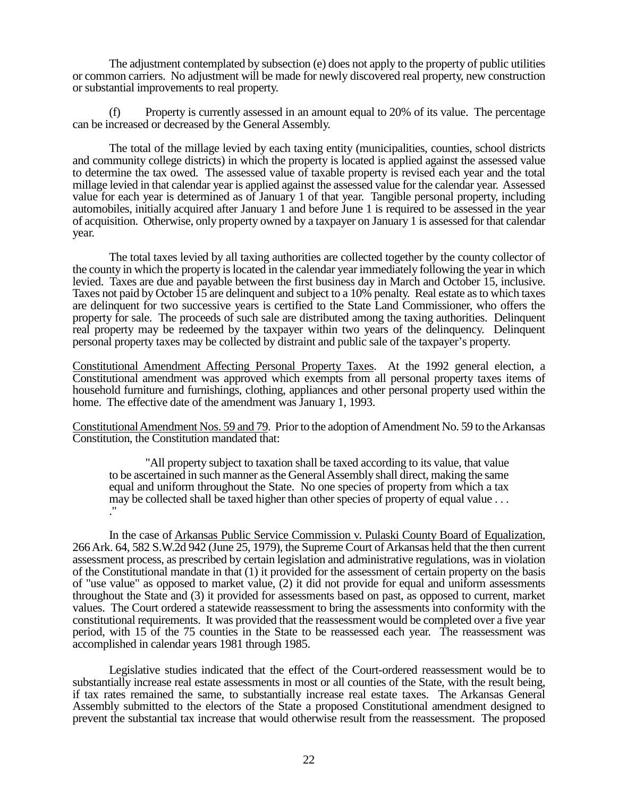The adjustment contemplated by subsection (e) does not apply to the property of public utilities or common carriers. No adjustment will be made for newly discovered real property, new construction or substantial improvements to real property.

(f) Property is currently assessed in an amount equal to 20% of its value. The percentage can be increased or decreased by the General Assembly.

The total of the millage levied by each taxing entity (municipalities, counties, school districts and community college districts) in which the property is located is applied against the assessed value to determine the tax owed. The assessed value of taxable property is revised each year and the total millage levied in that calendar year is applied against the assessed value for the calendar year. Assessed value for each year is determined as of January 1 of that year. Tangible personal property, including automobiles, initially acquired after January 1 and before June 1 is required to be assessed in the year of acquisition. Otherwise, only property owned by a taxpayer on January 1 is assessed for that calendar year.

The total taxes levied by all taxing authorities are collected together by the county collector of the county in which the property is located in the calendar year immediately following the year in which levied. Taxes are due and payable between the first business day in March and October 15, inclusive. Taxes not paid by October 15 are delinquent and subject to a 10% penalty. Real estate as to which taxes are delinquent for two successive years is certified to the State Land Commissioner, who offers the property for sale. The proceeds of such sale are distributed among the taxing authorities. Delinquent real property may be redeemed by the taxpayer within two years of the delinquency. Delinquent personal property taxes may be collected by distraint and public sale of the taxpayer's property.

Constitutional Amendment Affecting Personal Property Taxes. At the 1992 general election, a Constitutional amendment was approved which exempts from all personal property taxes items of household furniture and furnishings, clothing, appliances and other personal property used within the home. The effective date of the amendment was January 1, 1993.

Constitutional Amendment Nos. 59 and 79. Prior to the adoption of Amendment No. 59 to the Arkansas Constitution, the Constitution mandated that:

"All property subject to taxation shall be taxed according to its value, that value to be ascertained in such manner as the General Assembly shall direct, making the same equal and uniform throughout the State. No one species of property from which a tax may be collected shall be taxed higher than other species of property of equal value . . . ."

In the case of Arkansas Public Service Commission v. Pulaski County Board of Equalization, 266 Ark. 64, 582 S.W.2d 942 (June 25, 1979), the Supreme Court of Arkansas held that the then current assessment process, as prescribed by certain legislation and administrative regulations, was in violation of the Constitutional mandate in that (1) it provided for the assessment of certain property on the basis of "use value" as opposed to market value, (2) it did not provide for equal and uniform assessments throughout the State and (3) it provided for assessments based on past, as opposed to current, market values. The Court ordered a statewide reassessment to bring the assessments into conformity with the constitutional requirements. It was provided that the reassessment would be completed over a five year period, with 15 of the 75 counties in the State to be reassessed each year. The reassessment was accomplished in calendar years 1981 through 1985.

Legislative studies indicated that the effect of the Court-ordered reassessment would be to substantially increase real estate assessments in most or all counties of the State, with the result being, if tax rates remained the same, to substantially increase real estate taxes. The Arkansas General Assembly submitted to the electors of the State a proposed Constitutional amendment designed to prevent the substantial tax increase that would otherwise result from the reassessment. The proposed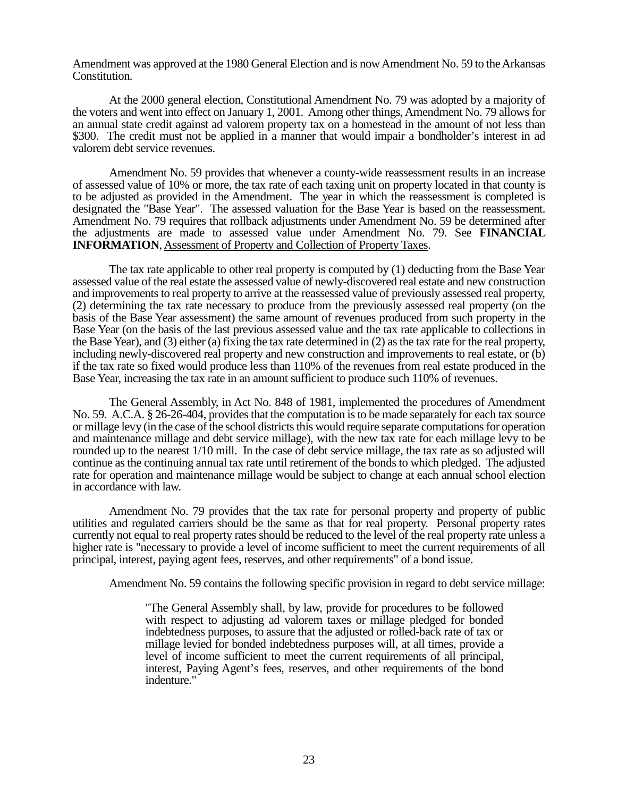Amendment was approved at the 1980 General Election and is now Amendment No. 59 to the Arkansas Constitution.

At the 2000 general election, Constitutional Amendment No. 79 was adopted by a majority of the voters and went into effect on January 1, 2001. Among other things, Amendment No. 79 allows for an annual state credit against ad valorem property tax on a homestead in the amount of not less than \$300. The credit must not be applied in a manner that would impair a bondholder's interest in ad valorem debt service revenues.

Amendment No. 59 provides that whenever a county-wide reassessment results in an increase of assessed value of 10% or more, the tax rate of each taxing unit on property located in that county is to be adjusted as provided in the Amendment. The year in which the reassessment is completed is designated the "Base Year". The assessed valuation for the Base Year is based on the reassessment. Amendment No. 79 requires that rollback adjustments under Amendment No. 59 be determined after the adjustments are made to assessed value under Amendment No. 79. See **FINANCIAL INFORMATION**, Assessment of Property and Collection of Property Taxes.

The tax rate applicable to other real property is computed by (1) deducting from the Base Year assessed value of the real estate the assessed value of newly-discovered real estate and new construction and improvements to real property to arrive at the reassessed value of previously assessed real property, (2) determining the tax rate necessary to produce from the previously assessed real property (on the basis of the Base Year assessment) the same amount of revenues produced from such property in the Base Year (on the basis of the last previous assessed value and the tax rate applicable to collections in the Base Year), and (3) either (a) fixing the tax rate determined in (2) as the tax rate for the real property, including newly-discovered real property and new construction and improvements to real estate, or (b) if the tax rate so fixed would produce less than 110% of the revenues from real estate produced in the Base Year, increasing the tax rate in an amount sufficient to produce such 110% of revenues.

The General Assembly, in Act No. 848 of 1981, implemented the procedures of Amendment No. 59. A.C.A. § 26-26-404, provides that the computation is to be made separately for each tax source or millage levy (in the case of the school districts this would require separate computations for operation and maintenance millage and debt service millage), with the new tax rate for each millage levy to be rounded up to the nearest 1/10 mill. In the case of debt service millage, the tax rate as so adjusted will continue as the continuing annual tax rate until retirement of the bonds to which pledged. The adjusted rate for operation and maintenance millage would be subject to change at each annual school election in accordance with law.

Amendment No. 79 provides that the tax rate for personal property and property of public utilities and regulated carriers should be the same as that for real property. Personal property rates currently not equal to real property rates should be reduced to the level of the real property rate unless a higher rate is "necessary to provide a level of income sufficient to meet the current requirements of all principal, interest, paying agent fees, reserves, and other requirements" of a bond issue.

Amendment No. 59 contains the following specific provision in regard to debt service millage:

"The General Assembly shall, by law, provide for procedures to be followed with respect to adjusting ad valorem taxes or millage pledged for bonded indebtedness purposes, to assure that the adjusted or rolled-back rate of tax or millage levied for bonded indebtedness purposes will, at all times, provide a level of income sufficient to meet the current requirements of all principal, interest, Paying Agent's fees, reserves, and other requirements of the bond indenture."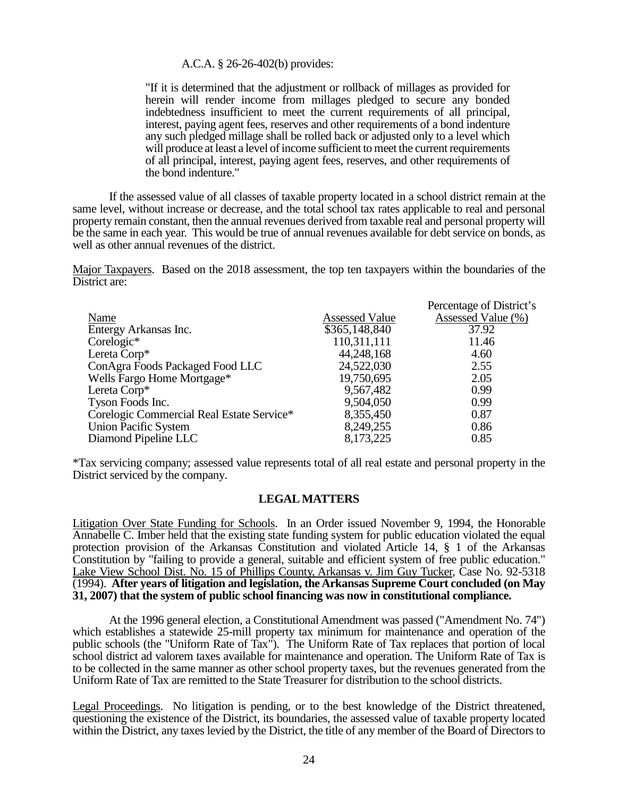#### A.C.A. § 26-26-402(b) provides:

"If it is determined that the adjustment or rollback of millages as provided for herein will render income from millages pledged to secure any bonded indebtedness insufficient to meet the current requirements of all principal, interest, paying agent fees, reserves and other requirements of a bond indenture any such pledged millage shall be rolled back or adjusted only to a level which will produce at least a level of income sufficient to meet the current requirements of all principal, interest, paying agent fees, reserves, and other requirements of the bond indenture."

If the assessed value of all classes of taxable property located in a school district remain at the same level, without increase or decrease, and the total school tax rates applicable to real and personal property remain constant, then the annual revenues derived from taxable real and personal property will be the same in each year. This would be true of annual revenues available for debt service on bonds, as well as other annual revenues of the district.

Major Taxpayers. Based on the 2018 assessment, the top ten taxpayers within the boundaries of the District are:

|                                           |                       | Percentage of District's |
|-------------------------------------------|-----------------------|--------------------------|
| Name                                      | <b>Assessed Value</b> | Assessed Value (%)       |
| Entergy Arkansas Inc.                     | \$365,148,840         | 37.92                    |
| Corelogic*                                | 110,311,111           | 11.46                    |
| Lereta Corp*                              | 44,248,168            | 4.60                     |
| ConAgra Foods Packaged Food LLC           | 24,522,030            | 2.55                     |
| Wells Fargo Home Mortgage*                | 19,750,695            | 2.05                     |
| Lereta Corp*                              | 9,567,482             | 0.99                     |
| Tyson Foods Inc.                          | 9,504,050             | 0.99                     |
| Corelogic Commercial Real Estate Service* | 8,355,450             | 0.87                     |
| <b>Union Pacific System</b>               | 8,249,255             | 0.86                     |
| Diamond Pipeline LLC                      | 8,173,225             | 0.85                     |

\*Tax servicing company; assessed value represents total of all real estate and personal property in the District serviced by the company.

### **LEGAL MATTERS**

Litigation Over State Funding for Schools. In an Order issued November 9, 1994, the Honorable Annabelle C. Imber held that the existing state funding system for public education violated the equal protection provision of the Arkansas Constitution and violated Article 14, § 1 of the Arkansas Constitution by "failing to provide a general, suitable and efficient system of free public education." Lake View School Dist. No. 15 of Phillips County, Arkansas v. Jim Guy Tucker, Case No. 92-5318 (1994). **After years of litigation and legislation, the Arkansas Supreme Court concluded (on May 31, 2007) that the system of public school financing was now in constitutional compliance.**

At the 1996 general election, a Constitutional Amendment was passed ("Amendment No. 74") which establishes a statewide 25-mill property tax minimum for maintenance and operation of the public schools (the "Uniform Rate of Tax"). The Uniform Rate of Tax replaces that portion of local school district ad valorem taxes available for maintenance and operation. The Uniform Rate of Tax is to be collected in the same manner as other school property taxes, but the revenues generated from the Uniform Rate of Tax are remitted to the State Treasurer for distribution to the school districts.

Legal Proceedings. No litigation is pending, or to the best knowledge of the District threatened, questioning the existence of the District, its boundaries, the assessed value of taxable property located within the District, any taxes levied by the District, the title of any member of the Board of Directors to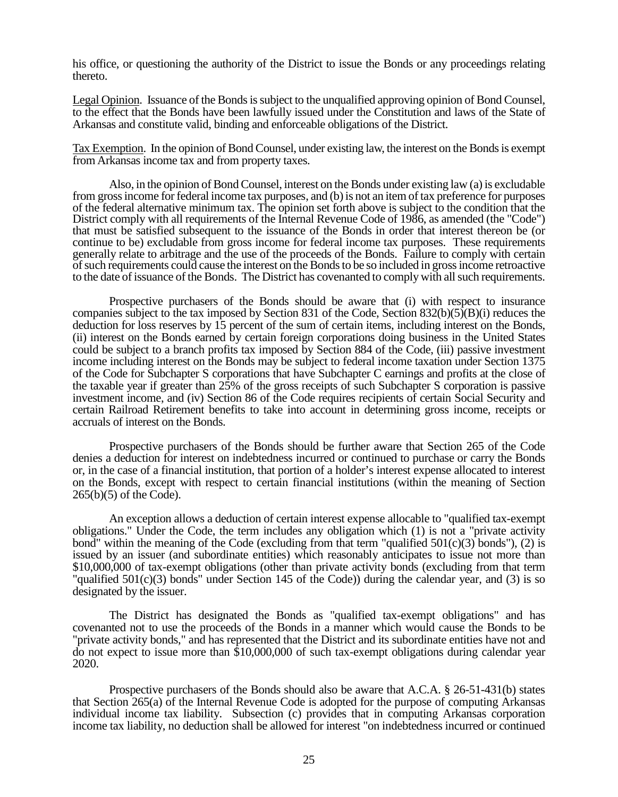his office, or questioning the authority of the District to issue the Bonds or any proceedings relating thereto.

Legal Opinion. Issuance of the Bonds is subject to the unqualified approving opinion of Bond Counsel, to the effect that the Bonds have been lawfully issued under the Constitution and laws of the State of Arkansas and constitute valid, binding and enforceable obligations of the District.

Tax Exemption. In the opinion of Bond Counsel, under existing law, the interest on the Bonds is exempt from Arkansas income tax and from property taxes.

Also, in the opinion of Bond Counsel, interest on the Bonds under existing law (a) is excludable from gross income for federal income tax purposes, and (b) is not an item of tax preference for purposes of the federal alternative minimum tax. The opinion set forth above is subject to the condition that the District comply with all requirements of the Internal Revenue Code of 1986, as amended (the "Code") that must be satisfied subsequent to the issuance of the Bonds in order that interest thereon be (or continue to be) excludable from gross income for federal income tax purposes. These requirements generally relate to arbitrage and the use of the proceeds of the Bonds. Failure to comply with certain of such requirements could cause the interest on the Bonds to be so included in gross income retroactive to the date of issuance of the Bonds. The District has covenanted to comply with all such requirements.

Prospective purchasers of the Bonds should be aware that (i) with respect to insurance companies subject to the tax imposed by Section 831 of the Code, Section  $832(b)(5)(B)(i)$  reduces the deduction for loss reserves by 15 percent of the sum of certain items, including interest on the Bonds, (ii) interest on the Bonds earned by certain foreign corporations doing business in the United States could be subject to a branch profits tax imposed by Section 884 of the Code, (iii) passive investment income including interest on the Bonds may be subject to federal income taxation under Section 1375 of the Code for Subchapter S corporations that have Subchapter C earnings and profits at the close of the taxable year if greater than 25% of the gross receipts of such Subchapter S corporation is passive investment income, and (iv) Section 86 of the Code requires recipients of certain Social Security and certain Railroad Retirement benefits to take into account in determining gross income, receipts or accruals of interest on the Bonds.

Prospective purchasers of the Bonds should be further aware that Section 265 of the Code denies a deduction for interest on indebtedness incurred or continued to purchase or carry the Bonds or, in the case of a financial institution, that portion of a holder's interest expense allocated to interest on the Bonds, except with respect to certain financial institutions (within the meaning of Section 265(b)(5) of the Code).

An exception allows a deduction of certain interest expense allocable to "qualified tax-exempt obligations." Under the Code, the term includes any obligation which (1) is not a "private activity bond" within the meaning of the Code (excluding from that term "qualified  $501(c)(3)$  bonds"), (2) is issued by an issuer (and subordinate entities) which reasonably anticipates to issue not more than \$10,000,000 of tax-exempt obligations (other than private activity bonds (excluding from that term "qualified 501(c)(3) bonds" under Section 145 of the Code)) during the calendar year, and (3) is so designated by the issuer.

The District has designated the Bonds as "qualified tax-exempt obligations" and has covenanted not to use the proceeds of the Bonds in a manner which would cause the Bonds to be "private activity bonds," and has represented that the District and its subordinate entities have not and do not expect to issue more than \$10,000,000 of such tax-exempt obligations during calendar year 2020.

Prospective purchasers of the Bonds should also be aware that A.C.A. § 26-51-431(b) states that Section 265(a) of the Internal Revenue Code is adopted for the purpose of computing Arkansas individual income tax liability. Subsection (c) provides that in computing Arkansas corporation income tax liability, no deduction shall be allowed for interest "on indebtedness incurred or continued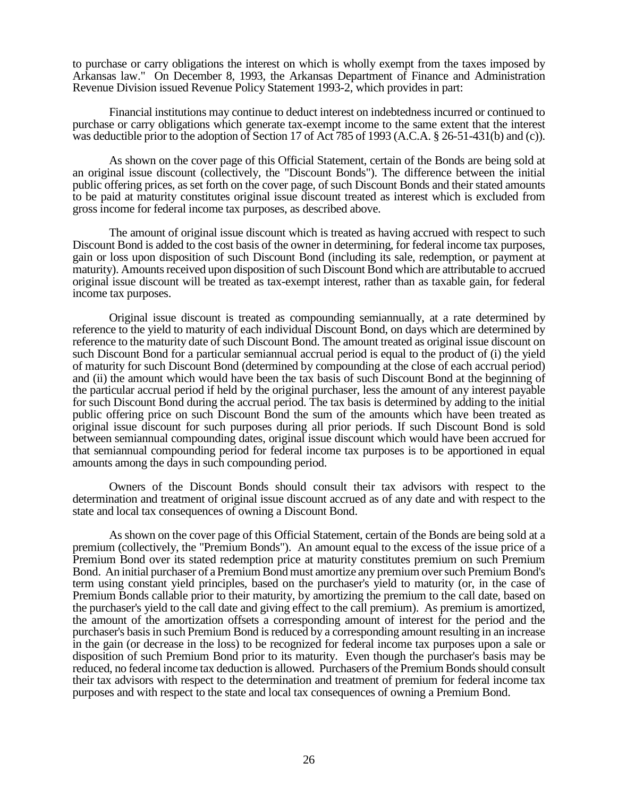to purchase or carry obligations the interest on which is wholly exempt from the taxes imposed by Arkansas law." On December 8, 1993, the Arkansas Department of Finance and Administration Revenue Division issued Revenue Policy Statement 1993-2, which provides in part:

Financial institutions may continue to deduct interest on indebtedness incurred or continued to purchase or carry obligations which generate tax-exempt income to the same extent that the interest was deductible prior to the adoption of Section 17 of Act 785 of 1993 (A.C.A. § 26-51-431(b) and (c)).

As shown on the cover page of this Official Statement, certain of the Bonds are being sold at an original issue discount (collectively, the "Discount Bonds"). The difference between the initial public offering prices, as set forth on the cover page, of such Discount Bonds and their stated amounts to be paid at maturity constitutes original issue discount treated as interest which is excluded from gross income for federal income tax purposes, as described above.

The amount of original issue discount which is treated as having accrued with respect to such Discount Bond is added to the cost basis of the owner in determining, for federal income tax purposes, gain or loss upon disposition of such Discount Bond (including its sale, redemption, or payment at maturity). Amounts received upon disposition of such Discount Bond which are attributable to accrued original issue discount will be treated as tax-exempt interest, rather than as taxable gain, for federal income tax purposes.

Original issue discount is treated as compounding semiannually, at a rate determined by reference to the yield to maturity of each individual Discount Bond, on days which are determined by reference to the maturity date of such Discount Bond. The amount treated as original issue discount on such Discount Bond for a particular semiannual accrual period is equal to the product of (i) the yield of maturity for such Discount Bond (determined by compounding at the close of each accrual period) and (ii) the amount which would have been the tax basis of such Discount Bond at the beginning of the particular accrual period if held by the original purchaser, less the amount of any interest payable for such Discount Bond during the accrual period. The tax basis is determined by adding to the initial public offering price on such Discount Bond the sum of the amounts which have been treated as original issue discount for such purposes during all prior periods. If such Discount Bond is sold between semiannual compounding dates, original issue discount which would have been accrued for that semiannual compounding period for federal income tax purposes is to be apportioned in equal amounts among the days in such compounding period.

Owners of the Discount Bonds should consult their tax advisors with respect to the determination and treatment of original issue discount accrued as of any date and with respect to the state and local tax consequences of owning a Discount Bond.

As shown on the cover page of this Official Statement, certain of the Bonds are being sold at a premium (collectively, the "Premium Bonds"). An amount equal to the excess of the issue price of a Premium Bond over its stated redemption price at maturity constitutes premium on such Premium Bond. An initial purchaser of a Premium Bond must amortize any premium over such Premium Bond's term using constant yield principles, based on the purchaser's yield to maturity (or, in the case of Premium Bonds callable prior to their maturity, by amortizing the premium to the call date, based on the purchaser's yield to the call date and giving effect to the call premium). As premium is amortized, the amount of the amortization offsets a corresponding amount of interest for the period and the purchaser's basis in such Premium Bond is reduced by a corresponding amount resulting in an increase in the gain (or decrease in the loss) to be recognized for federal income tax purposes upon a sale or disposition of such Premium Bond prior to its maturity. Even though the purchaser's basis may be reduced, no federal income tax deduction is allowed. Purchasers of the Premium Bonds should consult their tax advisors with respect to the determination and treatment of premium for federal income tax purposes and with respect to the state and local tax consequences of owning a Premium Bond.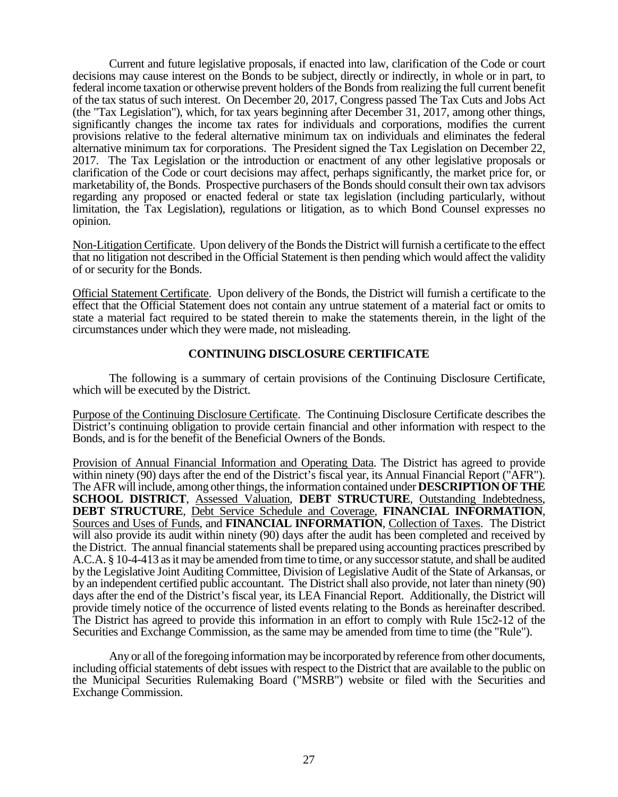Current and future legislative proposals, if enacted into law, clarification of the Code or court decisions may cause interest on the Bonds to be subject, directly or indirectly, in whole or in part, to federal income taxation or otherwise prevent holders of the Bonds from realizing the full current benefit of the tax status of such interest. On December 20, 2017, Congress passed The Tax Cuts and Jobs Act (the "Tax Legislation"), which, for tax years beginning after December 31, 2017, among other things, significantly changes the income tax rates for individuals and corporations, modifies the current provisions relative to the federal alternative minimum tax on individuals and eliminates the federal alternative minimum tax for corporations. The President signed the Tax Legislation on December 22, 2017. The Tax Legislation or the introduction or enactment of any other legislative proposals or clarification of the Code or court decisions may affect, perhaps significantly, the market price for, or marketability of, the Bonds. Prospective purchasers of the Bonds should consult their own tax advisors regarding any proposed or enacted federal or state tax legislation (including particularly, without limitation, the Tax Legislation), regulations or litigation, as to which Bond Counsel expresses no opinion.

Non-Litigation Certificate. Upon delivery of the Bonds the District will furnish a certificate to the effect that no litigation not described in the Official Statement is then pending which would affect the validity of or security for the Bonds.

Official Statement Certificate. Upon delivery of the Bonds, the District will furnish a certificate to the effect that the Official Statement does not contain any untrue statement of a material fact or omits to state a material fact required to be stated therein to make the statements therein, in the light of the circumstances under which they were made, not misleading.

## **CONTINUING DISCLOSURE CERTIFICATE**

The following is a summary of certain provisions of the Continuing Disclosure Certificate, which will be executed by the District.

Purpose of the Continuing Disclosure Certificate. The Continuing Disclosure Certificate describes the District's continuing obligation to provide certain financial and other information with respect to the Bonds, and is for the benefit of the Beneficial Owners of the Bonds.

Provision of Annual Financial Information and Operating Data. The District has agreed to provide within ninety (90) days after the end of the District's fiscal year, its Annual Financial Report ("AFR"). The AFR will include, among other things, the information contained under **DESCRIPTION OF THE SCHOOL DISTRICT**, Assessed Valuation, **DEBT STRUCTURE**, Outstanding Indebtedness, **DEBT STRUCTURE**, Debt Service Schedule and Coverage, **FINANCIAL INFORMATION**, Sources and Uses of Funds, and **FINANCIAL INFORMATION**, Collection of Taxes. The District will also provide its audit within ninety (90) days after the audit has been completed and received by the District. The annual financial statements shall be prepared using accounting practices prescribed by A.C.A. § 10-4-413 as it may be amended from time to time, or any successor statute, and shall be audited by the Legislative Joint Auditing Committee, Division of Legislative Audit of the State of Arkansas, or by an independent certified public accountant. The District shall also provide, not later than ninety (90) days after the end of the District's fiscal year, its LEA Financial Report. Additionally, the District will provide timely notice of the occurrence of listed events relating to the Bonds as hereinafter described. The District has agreed to provide this information in an effort to comply with Rule 15c2-12 of the Securities and Exchange Commission, as the same may be amended from time to time (the "Rule").

Any or all of the foregoing information may be incorporated by reference from other documents, including official statements of debt issues with respect to the District that are available to the public on the Municipal Securities Rulemaking Board ("MSRB") website or filed with the Securities and Exchange Commission.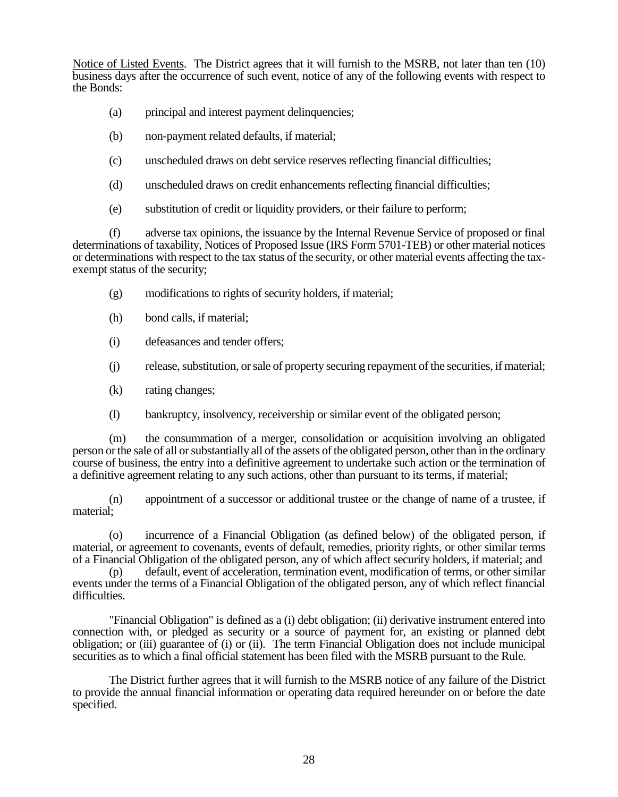Notice of Listed Events. The District agrees that it will furnish to the MSRB, not later than ten (10) business days after the occurrence of such event, notice of any of the following events with respect to the Bonds:

- (a) principal and interest payment delinquencies;
- (b) non-payment related defaults, if material;
- (c) unscheduled draws on debt service reserves reflecting financial difficulties;
- (d) unscheduled draws on credit enhancements reflecting financial difficulties;
- (e) substitution of credit or liquidity providers, or their failure to perform;

(f) adverse tax opinions, the issuance by the Internal Revenue Service of proposed or final determinations of taxability, Notices of Proposed Issue (IRS Form 5701-TEB) or other material notices or determinations with respect to the tax status of the security, or other material events affecting the taxexempt status of the security;

- (g) modifications to rights of security holders, if material;
- (h) bond calls, if material;
- (i) defeasances and tender offers;
- (j) release, substitution, or sale of property securing repayment of the securities, if material;
- (k) rating changes;
- (l) bankruptcy, insolvency, receivership or similar event of the obligated person;

(m) the consummation of a merger, consolidation or acquisition involving an obligated person or the sale of all or substantially all of the assets of the obligated person, other than in the ordinary course of business, the entry into a definitive agreement to undertake such action or the termination of a definitive agreement relating to any such actions, other than pursuant to its terms, if material;

(n) appointment of a successor or additional trustee or the change of name of a trustee, if material;

(o) incurrence of a Financial Obligation (as defined below) of the obligated person, if material, or agreement to covenants, events of default, remedies, priority rights, or other similar terms of a Financial Obligation of the obligated person, any of which affect security holders, if material; and

(p) default, event of acceleration, termination event, modification of terms, or other similar events under the terms of a Financial Obligation of the obligated person, any of which reflect financial difficulties.

"Financial Obligation" is defined as a (i) debt obligation; (ii) derivative instrument entered into connection with, or pledged as security or a source of payment for, an existing or planned debt obligation; or (iii) guarantee of (i) or (ii). The term Financial Obligation does not include municipal securities as to which a final official statement has been filed with the MSRB pursuant to the Rule.

The District further agrees that it will furnish to the MSRB notice of any failure of the District to provide the annual financial information or operating data required hereunder on or before the date specified.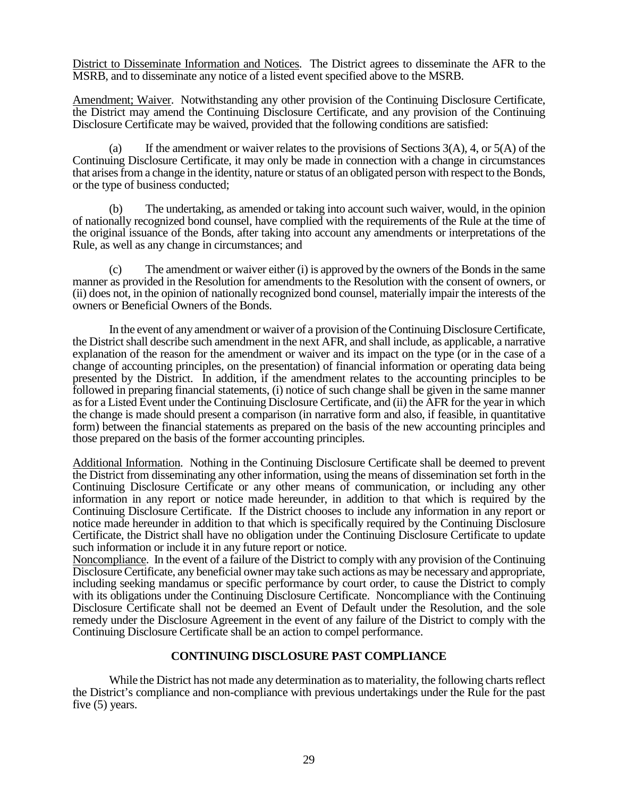District to Disseminate Information and Notices. The District agrees to disseminate the AFR to the MSRB, and to disseminate any notice of a listed event specified above to the MSRB.

Amendment; Waiver. Notwithstanding any other provision of the Continuing Disclosure Certificate, the District may amend the Continuing Disclosure Certificate, and any provision of the Continuing Disclosure Certificate may be waived, provided that the following conditions are satisfied:

(a) If the amendment or waiver relates to the provisions of Sections 3(A), 4, or 5(A) of the Continuing Disclosure Certificate, it may only be made in connection with a change in circumstances that arises from a change in the identity, nature or status of an obligated person with respect to the Bonds, or the type of business conducted;

(b) The undertaking, as amended or taking into account such waiver, would, in the opinion of nationally recognized bond counsel, have complied with the requirements of the Rule at the time of the original issuance of the Bonds, after taking into account any amendments or interpretations of the Rule, as well as any change in circumstances; and

(c) The amendment or waiver either (i) is approved by the owners of the Bonds in the same manner as provided in the Resolution for amendments to the Resolution with the consent of owners, or (ii) does not, in the opinion of nationally recognized bond counsel, materially impair the interests of the owners or Beneficial Owners of the Bonds.

In the event of any amendment or waiver of a provision of the Continuing Disclosure Certificate, the District shall describe such amendment in the next AFR, and shall include, as applicable, a narrative explanation of the reason for the amendment or waiver and its impact on the type (or in the case of a change of accounting principles, on the presentation) of financial information or operating data being presented by the District. In addition, if the amendment relates to the accounting principles to be followed in preparing financial statements, (i) notice of such change shall be given in the same manner as for a Listed Event under the Continuing Disclosure Certificate, and (ii) the AFR for the year in which the change is made should present a comparison (in narrative form and also, if feasible, in quantitative form) between the financial statements as prepared on the basis of the new accounting principles and those prepared on the basis of the former accounting principles.

Additional Information. Nothing in the Continuing Disclosure Certificate shall be deemed to prevent the District from disseminating any other information, using the means of dissemination set forth in the Continuing Disclosure Certificate or any other means of communication, or including any other information in any report or notice made hereunder, in addition to that which is required by the Continuing Disclosure Certificate. If the District chooses to include any information in any report or notice made hereunder in addition to that which is specifically required by the Continuing Disclosure Certificate, the District shall have no obligation under the Continuing Disclosure Certificate to update such information or include it in any future report or notice.

Noncompliance. In the event of a failure of the District to comply with any provision of the Continuing Disclosure Certificate, any beneficial owner may take such actions as may be necessary and appropriate, including seeking mandamus or specific performance by court order, to cause the District to comply with its obligations under the Continuing Disclosure Certificate. Noncompliance with the Continuing Disclosure Certificate shall not be deemed an Event of Default under the Resolution, and the sole remedy under the Disclosure Agreement in the event of any failure of the District to comply with the Continuing Disclosure Certificate shall be an action to compel performance.

## **CONTINUING DISCLOSURE PAST COMPLIANCE**

While the District has not made any determination as to materiality, the following charts reflect the District's compliance and non-compliance with previous undertakings under the Rule for the past five (5) years.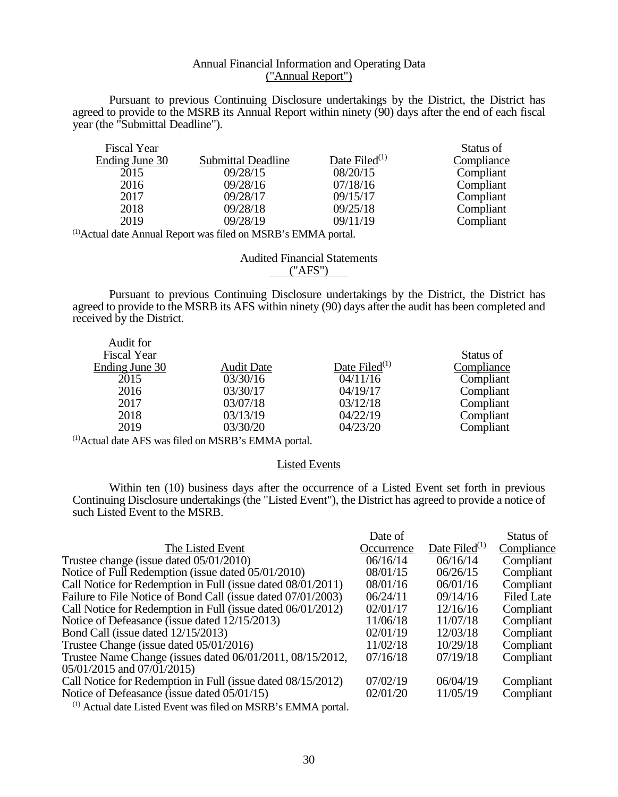## Annual Financial Information and Operating Data ("Annual Report")

Pursuant to previous Continuing Disclosure undertakings by the District, the District has agreed to provide to the MSRB its Annual Report within ninety (90) days after the end of each fiscal year (the "Submittal Deadline").

| <b>Fiscal Year</b> |                           |                  | Status of  |
|--------------------|---------------------------|------------------|------------|
| Ending June 30     | <b>Submittal Deadline</b> | Date Filed $(1)$ | Compliance |
| 2015               | 09/28/15                  | 08/20/15         | Compliant  |
| 2016               | 09/28/16                  | 07/18/16         | Compliant  |
| 2017               | 09/28/17                  | 09/15/17         | Compliant  |
| 2018               | 09/28/18                  | 09/25/18         | Compliant  |
| 2019               | 09/28/19                  | 09/11/19         | Compliant  |

(1)Actual date Annual Report was filed on MSRB's EMMA portal.

Audited Financial Statements ("AFS")

Pursuant to previous Continuing Disclosure undertakings by the District, the District has agreed to provide to the MSRB its AFS within ninety (90) days after the audit has been completed and received by the District.

| Audit for          |                   |                  |            |
|--------------------|-------------------|------------------|------------|
| <b>Fiscal Year</b> |                   |                  | Status of  |
| Ending June 30     | <b>Audit Date</b> | Date Filed $(1)$ | Compliance |
| 2015               | 03/30/16          | 04/11/16         | Compliant  |
| 2016               | 03/30/17          | 04/19/17         | Compliant  |
| 2017               | 03/07/18          | 03/12/18         | Compliant  |
| 2018               | 03/13/19          | 04/22/19         | Compliant  |
| 2019               | 03/30/20          | 04/23/20         | Compliant  |
|                    |                   |                  |            |

(1)Actual date AFS was filed on MSRB's EMMA portal.

 $\lambda$  and  $\lambda$ 

#### Listed Events

Within ten (10) business days after the occurrence of a Listed Event set forth in previous Continuing Disclosure undertakings (the "Listed Event"), the District has agreed to provide a notice of such Listed Event to the MSRB.

|                                                              | Date of    |                  | Status of         |
|--------------------------------------------------------------|------------|------------------|-------------------|
| The Listed Event                                             | Occurrence | Date Filed $(1)$ | Compliance        |
| Trustee change (issue dated 05/01/2010)                      | 06/16/14   | 06/16/14         | Compliant         |
| Notice of Full Redemption (issue dated 05/01/2010)           | 08/01/15   | 06/26/15         | Compliant         |
| Call Notice for Redemption in Full (issue dated 08/01/2011)  | 08/01/16   | 06/01/16         | Compliant         |
| Failure to File Notice of Bond Call (issue dated 07/01/2003) | 06/24/11   | 09/14/16         | <b>Filed Late</b> |
| Call Notice for Redemption in Full (issue dated 06/01/2012)  | 02/01/17   | 12/16/16         | Compliant         |
| Notice of Defeasance (issue dated 12/15/2013)                | 11/06/18   | 11/07/18         | Compliant         |
| Bond Call (issue dated 12/15/2013)                           | 02/01/19   | 12/03/18         | Compliant         |
| Trustee Change (issue dated 05/01/2016)                      | 11/02/18   | 10/29/18         | Compliant         |
| Trustee Name Change (issues dated 06/01/2011, 08/15/2012,    | 07/16/18   | 07/19/18         | Compliant         |
| $05/01/2015$ and $07/01/2015$ )                              |            |                  |                   |
| Call Notice for Redemption in Full (issue dated 08/15/2012)  | 07/02/19   | 06/04/19         | Compliant         |
| Notice of Defeasance (issue dated 05/01/15)                  | 02/01/20   | 11/05/19         | Compliant         |
|                                                              |            |                  |                   |

(1) Actual date Listed Event was filed on MSRB's EMMA portal.